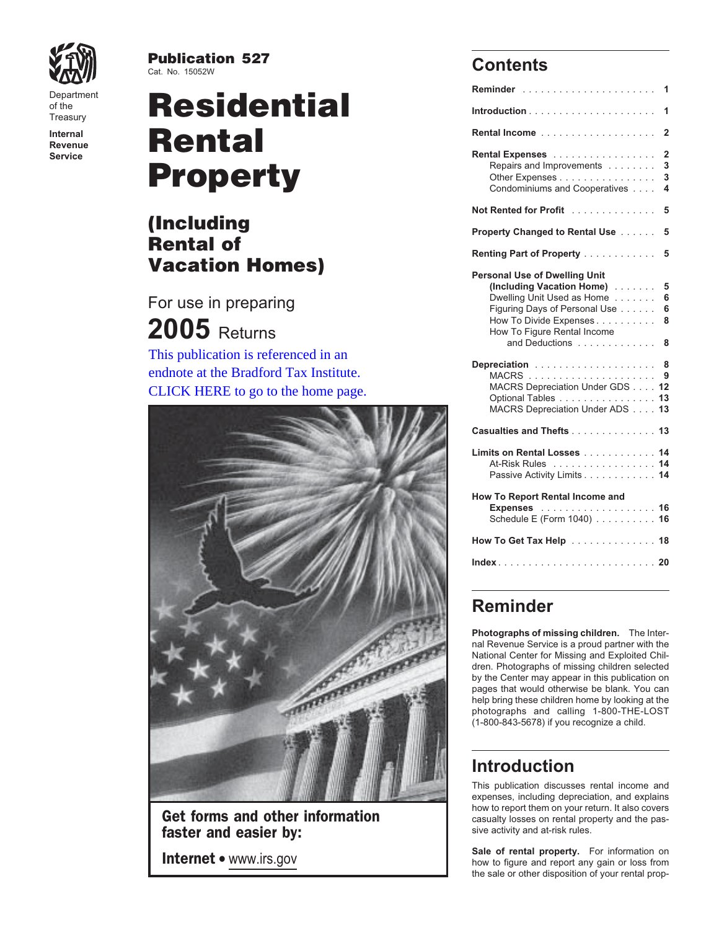

**Publication 527**<br>Cat. No. 15052W

# **Property**

# **(Including Property Changed to Rental Use** ...... **<sup>5</sup> Rental of Vacation Homes)**



faster and easier by: **faster** and  $\overline{a}$  sive activity and at-risk rules.

## **Contents**

| Department<br>of the | <b>Residential</b>                                                                                       |                                                                                                                                                                                                                       |  |
|----------------------|----------------------------------------------------------------------------------------------------------|-----------------------------------------------------------------------------------------------------------------------------------------------------------------------------------------------------------------------|--|
| Treasury             |                                                                                                          |                                                                                                                                                                                                                       |  |
| Internal<br>Revenue  | <b>Rental</b>                                                                                            | Rental Income 2                                                                                                                                                                                                       |  |
| <b>Service</b>       | <b>Property</b>                                                                                          | Rental Expenses 2<br>Repairs and Improvements 3<br>Other Expenses 3<br>Condominiums and Cooperatives 4                                                                                                                |  |
|                      |                                                                                                          | Not Rented for Profit <b>Constructs</b> 5                                                                                                                                                                             |  |
|                      | (Including                                                                                               | Property Changed to Rental Use 5                                                                                                                                                                                      |  |
|                      | <b>Rental of</b>                                                                                         | Renting Part of Property 5                                                                                                                                                                                            |  |
|                      | <b>Vacation Homes)</b><br>For use in preparing<br>$2005$ Returns<br>This publication is referenced in an | <b>Personal Use of Dwelling Unit</b><br>(Including Vacation Home) 5<br>Dwelling Unit Used as Home 6<br>Figuring Days of Personal Use 6<br>How To Divide Expenses 8<br>How To Figure Rental Income<br>and Deductions 8 |  |
|                      | endnote at the Bradford Tax Institute.<br>CLICK HERE to go to the home page.                             | Depreciation  8<br>MACRS Depreciation Under GDS 12                                                                                                                                                                    |  |
|                      |                                                                                                          | Optional Tables 13<br>MACRS Depreciation Under ADS 13                                                                                                                                                                 |  |
|                      |                                                                                                          | Casualties and Thefts 13                                                                                                                                                                                              |  |
|                      |                                                                                                          | Limits on Rental Losses 14<br>At-Risk Rules 14<br>Passive Activity Limits 14                                                                                                                                          |  |
|                      |                                                                                                          | How To Report Rental Income and<br><b>Expenses</b> 16<br>Schedule E (Form 1040) 16                                                                                                                                    |  |
|                      |                                                                                                          | How To Get Tax Help 18                                                                                                                                                                                                |  |
|                      |                                                                                                          | $Index20$                                                                                                                                                                                                             |  |

# **Reminder**

**Photographs of missing children.** The Internal Revenue Service is a proud partner with the National Center for Missing and Exploited Children. Photographs of missing children selected by the Center may appear in this publication on pages that would otherwise be blank. You can help bring these children home by looking at the photographs and calling 1-800-THE-LOST (1-800-843-5678) if you recognize a child.

# **Introduction**

This publication discusses rental income and expenses, including depreciation, and explains **Get forms and other information** bow to report them on your return. It also covers casualty losses on rental property and the pas-

**Internet •** www.irs.gov **Sale of rental property.** For information on **Internet •** www.irs.gov the sale or other disposition of your rental prop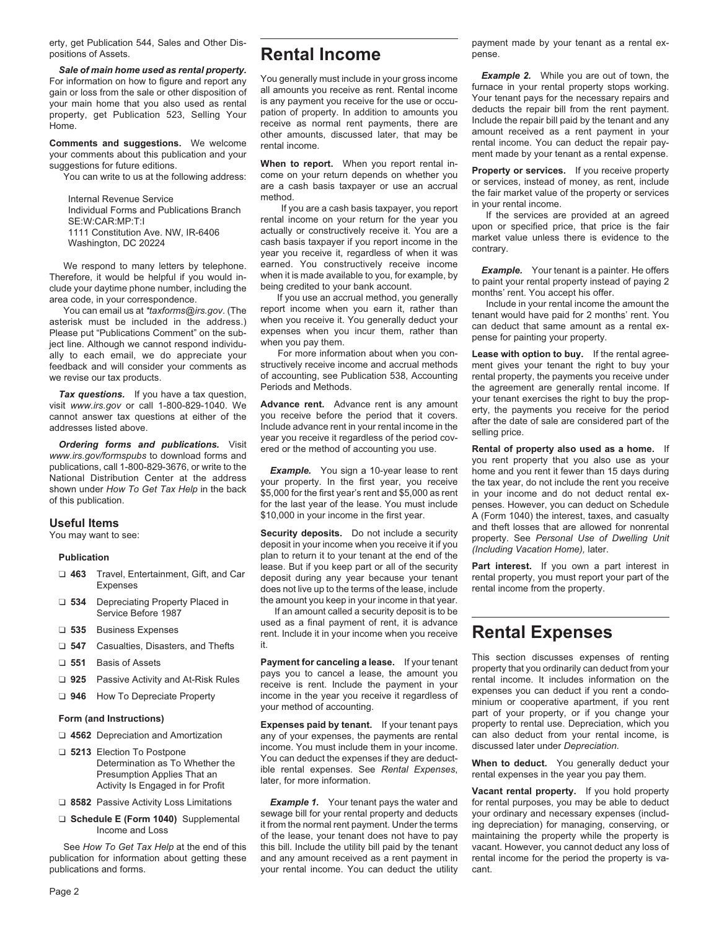**Positions of Assets. Rental Income pense.** 

your comments about this publication and your<br>suggestions for future editions. When to report. When you report rental in-<br>suggestions for future editions.

ally to each email, we do appreciate your For more information about when you con-<br>feedback and will consider your comments as structively receive income and accrual methods ment gives your tenant the right to buy your feedback and will consider your comments as structively receive income and accrual methods of accounting see Publication 538, Accounting the revise our tax products

**Tax questions.** If you have a tax question,<br>
visit www.irs.gov or call 1-800-829-1040. We **Advance rent**. Advance rent is any amount vour tenant exercises the right to buy the prop-<br>
cannot answer tax questions at either

- 
- 
- 
- Casualties, Disasters, and Thefts
- 
- 
- 

- 
- 
- 
- 

suggestions for future editions.<br>
You can write to us at the following address:<br>
The come on your return depends on whether you<br>
are a cash basis taxpayer or use an accrual<br>
Internal Revenue Service<br>
Individual Forms and P

We respond to many letters by telephone. earned. You constructively receive income<br>Therefore, it would be helpful if you would in-<br>clude your daytime phone number, including the being credited to you, for example, by<br>clude

Voltanay want to see:<br>
Security deposition deposits. But include a security property. See *Personal Use of Dwelling Unit*<br>
Publication **Publication**<br>
Publication **Dublication** Dublication Allen plan to return it to your te plan to return it to your tenant at the end of the lease. But if you keep part or all of the security Lease. But if you keep part or all of the security **Part interest.** If you own a part interest in<br>Expenses Expenses and Care of the security of the terms of the lease, include rental property, you must report your part of ❏ **534** Depreciating Property Placed in the amount you keep in your income in that year.

Service Before 1987<br>
used as a final payment of rent, it is advance<br>
used as a final payment of rent, it is advance used as a final payment of rent, it is advance ❏ **<sup>535</sup>** Business Expenses rent. Include it in your income when you receive **Rental Expenses**

❏ **4562** Depreciation and Amortization any of your expenses, the payments are rental can also deduct from your rental income, is □ 5213 Election To Postpone income. You must include them in your income. discussed later under *Depreciation*.<br>Determination as To Whether the You can deduct the expenses if they are deduct-<br>Presumption Applies That an i

❏ **8582** Passive Activity Loss Limitations *Example 1.* Your tenant pays the water and for rental purposes, you may be able to deduct □ Schedule E (Form 1040) Supplemental<br>it from the normal rent payment. Under the terms ing depreciation) for managing, conserving, or<br>Income and Loss of the lease, your tenant does not have to pay maintaining the property this bill. Include the utility bill paid by the tenant publication for information about getting these and any amount received as a rent payment in rental income for the period the property is vapublications and forms. your rental income. You can deduct the utility cant.

erty, get Publication 544, Sales and Other Dis-<br>
payment made by your tenant as a rental ex-

Sale of main home used as rental property.<br>
For information on how to figure and report any<br>
gain or loss from the sale or other disposition of<br>
your main home that you also used as rental amounts you receive as rent. Rent

we revise our tax products. of accounting, see Publication 538, Accounting rental property, the payments you receive under<br>Periods and Methods. the agreement are generally rental income. If

**Useful Items**<br> **Weful Items**<br>
You may want to see:<br>
You may want to see:<br> **Security deposits.** Do not include a security **See Personal Use of Dwelling Unit** 

<table>\n<tbody>\n<tr>\n<td>□ 551</td>\n<td>Pass of Assets</td>\n<td>Payment for canceling a lease. If your tenant<br/>property that you ordinarily can deduct from your<br/>receiving a lease, the amount you<br/>reactive is rent. Include the payment in your<br/>syment in your<br/>your method of accounting.</td>\n<td>This section discusses expenses of renting<br/>property that you ordinarily can deduct from your<br/>central income. It includes information on the<br/>express you can deduct if you rent a<br/>of your property, or if you change your<br/>porty, or if you change your<br/>part of your property, or if you change your<br/>four much to your<br/>property.</td>\n</tr>\n</tbody>\n</table>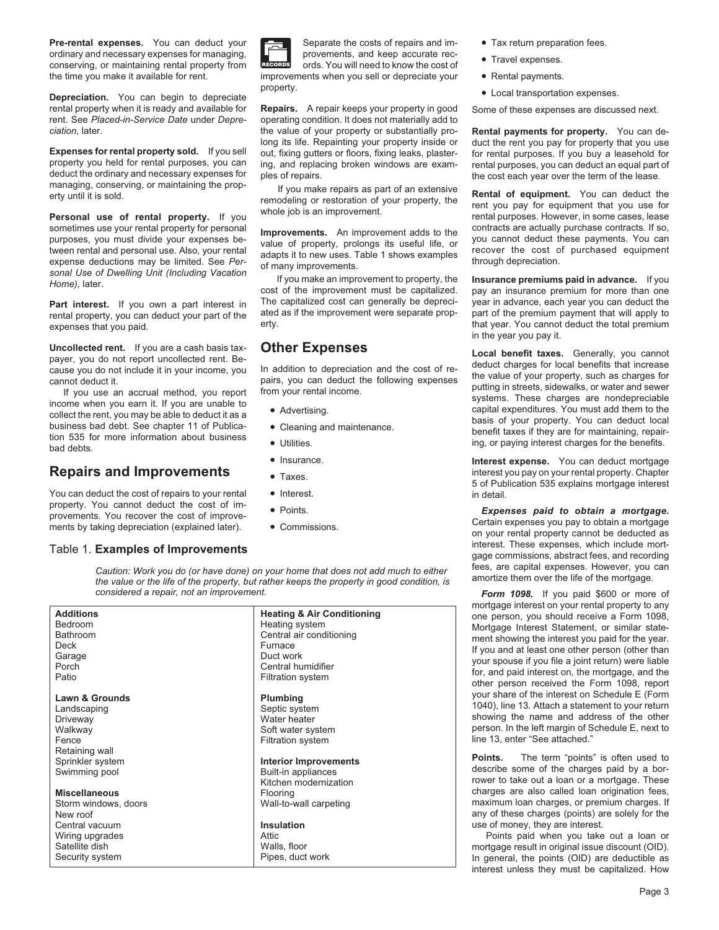**Pre-rental expenses.** You can deduct your Separate the costs of repairs and im- • Tax return preparation fees. ordinary and necessary expenses for managing,<br>
conserving, or maintaining rental property from **RECORDS** ords. You will need to know the cost of **Property from CORDS** the time you make it available for rent. improvements when you sell or depreciate your • Rental payments.

property. • Local transportation expenses. **Depreciation.** You can begin to depreciate rent. See *Placed-in-Service Date* under *Depre-* operating condition. It does not materially add to

deduct the ordinary and necessary expenses for ples of repairs.<br>managing, conserving, or maintaining the prop-<br> $\mu$  we use repairs as part of an extensive

sometimes use your rental property for personal<br>purposes, you must divide your expenses be-<br>tween rental and personal use. Also, your rental<br>expense deductions may be limited. See Per-<br>sonal Use of Dwelling Unit (Including

You can deduct the cost of repairs to your rental  $\bullet$  Interest.<br>property. You cannot deduct the cost of im-

Caution: Work you do (or have done) on your home that does not add much to either fees, are capital expenses. However, you can the value or the life of the property, but rather keeps the property in good condition, is amor

|                      |                                       | mortgage interest on your rental property to any    |
|----------------------|---------------------------------------|-----------------------------------------------------|
| <b>Additions</b>     | <b>Heating &amp; Air Conditioning</b> | one person, you should receive a Form 1098,         |
| Bedroom              | Heating system                        | Mortgage Interest Statement, or similar state-      |
| <b>Bathroom</b>      | Central air conditioning              | ment showing the interest you paid for the year.    |
| Deck                 | Furnace                               | If you and at least one other person (other than    |
| Garage               | Duct work                             | your spouse if you file a joint return) were liable |
| Porch                | Central humidifier                    |                                                     |
| Patio                | <b>Filtration system</b>              | for, and paid interest on, the mortgage, and the    |
|                      |                                       | other person received the Form 1098, report         |
| Lawn & Grounds       | <b>Plumbing</b>                       | your share of the interest on Schedule E (Form      |
| Landscaping          | Septic system                         | 1040), line 13. Attach a statement to your return   |
| Driveway             | Water heater                          | showing the name and address of the other           |
| Walkway              | Soft water system                     | person. In the left margin of Schedule E, next to   |
| Fence                | <b>Filtration system</b>              | line 13, enter "See attached."                      |
| Retaining wall       |                                       |                                                     |
| Sprinkler system     | <b>Interior Improvements</b>          | The term "points" is often used to<br>Points.       |
| Swimming pool        | Built-in appliances                   | describe some of the charges paid by a bor-         |
|                      | Kitchen modernization                 | rower to take out a loan or a mortgage. These       |
| <b>Miscellaneous</b> | Flooring                              | charges are also called loan origination fees,      |
| Storm windows, doors | Wall-to-wall carpeting                | maximum loan charges, or premium charges. If        |
| New roof             |                                       | any of these charges (points) are solely for the    |
| Central vacuum       | <b>Insulation</b>                     | use of money, they are interest.                    |
| Wiring upgrades      | Attic                                 | Points paid when you take out a loan or             |
| Satellite dish       | Walls, floor                          | mortgage result in original issue discount (OID).   |
| Security system      | Pipes, duct work                      | In general, the points (OID) are deductible as      |
|                      |                                       |                                                     |



rental property when it is ready and available for **Repairs.** A repair keeps your property in good Some of these expenses are discussed next. *ciation,* later. the value of your property or substantially pro- **Rental payments for property.** You can delong its life. Repainting your property inside or duct the rent you pay for property that you use **Expenses for rental property sold.** If you sell out, fixing gutters or floors, fixing leaks, plaster-<br>property you held for rental purposes, you can ing, and replacing broken windows are exam-<br>rental purposes, you can ded property you held for rental purposes, you can ing, and replacing broken windows are exam-<br>deduct the ordinary and necessary expenses for ples of renairs the cost each year over the term of the lease

- 
- 
- 
- 
- 
- 
- 
- 

- 
- 
- 

managing, conserving, or maintaining the prop-<br>erty until it is sold. For external property. If you make repairs as part of an extensive<br>Personal use of rental property. If you whole job is an improvement. Personal use of

**Part interest.** If you own a part interest in The capitalized cost can generally be depreci-<br>rental property, you can deduct your part of the ated as if the improvement were separate prop-<br>expanses that you paid<br>erty. tha expenses that you paid. erty. erty. The strategies of that year. You cannot deduct the total premium in the year you pay it.

**Uncollected rent.** If you are a cash basis tax-<br>
payer, you do not report uncollected rent. Be-<br>
cause you do not include it in your income, you In addition to depreciation and the cost of re-<br>
cause an accrual benefit ta

• Insurance. **Interest expense.** You can deduct mortgage **Repairs and Improvements**<br>
You can deduct the cost of repairs to your rental <br> **in detail**<br>
Sof Publication 535 explains mortgage interest<br>
in detail

property. You cannot deduct the cost of im-<br>provements. You recover the cost of improve-<br>ments by taking depreciation (explained later). <br>ments by taking depreciation (explained later). <br>Commissions. <br>on your rental proper Table 1. **Examples of Improvements**<br>qage commissions, abstract fees, and recording

**Form 1098.** If you paid \$600 or more of mortgage interest on your rental property to any

interest unless they must be capitalized. How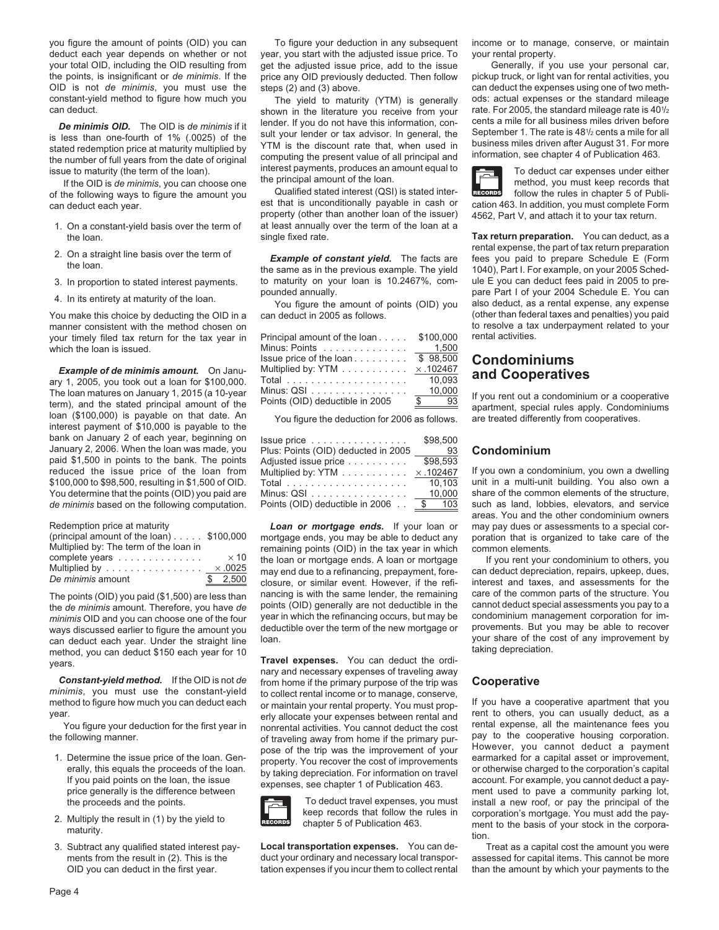you figure the amount of points (OID) you can To figure your deduction in any subsequent income or to manage, conserve, or maintain deduct each year depends on whether or not year, you start with the adjusted issue price. To your rental property. your total OID, including the OID resulting from get the adjusted issue price, add to the issue Generally, if you use your personal car, the points, is insignificant or *de minimis*. If the price any OID previously deducted. Then follow pickup truck, or light van for rental activities, you OID is not *de minimis*, you must use the steps (2) and (3) above. can deduct the expenses using one of two meth-<br>constant-yield method to figure how much you The vield to maturity (YTM) is generally ods: actual expenses o constant-yield method to figure how much you on The yield to maturity (YTM) is generally ods: actual expenses or the standard mileage rate is 401/2<br>Shown in the literature you receive from your rate. For 2005, the standard

- 
- 
- 
- 

manner consistent with the method chosen on which the loan is issued.

**Example of de minimis amount.** On January 1, 2005, you took out a loan for \$100,000. The loan matures on January 1, 2015 (a 10-year Minus: QSI ................ 10,000 If you rent out a condominium or a cooperative Points (OID) deductible in 2005 \$ 93 term), and the stated principal amount of the apartment, special rules apply. Condominiums loan (\$100,000) is payable on that date. An You figure the deduction for 2006 as follows. are treated differently from cooperatives. interest payment of \$10,000 is payable to the bank on January 2 of each year, beginning on January 2, 2006. When the loan was made, you Plus: Points (OID) deducted in 2005 93 **Condominium** paid \$1,500 in points to the bank. The points reduced the issue price of the loan from Multiplied by: YTM ........... × .102467 If you own a condominium, you own a dwelling \$100,000 to \$98,500, resulting in \$1,500 of OID. Total .................... 10,103 unit in a multi-unit building. You also own a You determine that the points (OID) you paid are

| (principal amount of the loan) $\ldots$ \$100,000   |               |
|-----------------------------------------------------|---------------|
| Multiplied by: The term of the loan in              |               |
| complete years                                      | $\times$ 10   |
| Multiplied by $\dots \dots \dots \dots \dots \dots$ | $\times.0025$ |
| De minimis amount                                   | \$2,500       |

*minimis* OID and you can choose one of the four year in which the refinancing occurs, but may be ways discussed earlier to figure the amount you deductible over the term of the new mortgage or ways discussed earlier to figure the amount you deductible over the term of the new mortgage or provements. But you may be able to recover<br>can deduct each year. Under the straight line loan. can deduct each year. Under the straight line cost of any improvement by can deduct each year. Under the straight line cost of any improvement by can deduct \$150 each year for 10 method, you can deduct \$150 each year for 10 Travel expenses. You can deduct the ordi-<br>vears.

- 
- maturity. The contract of the contract of the contract of the contract of the contract of the contract of the contract of the contract of the contract of the contract of the contract of the contract of the contract of the
- 

shown in the literature you receive from your cate. For 2005, the standard mileage rate is 401/<sub>2</sub><br>Jender If you do not have this information con-cents a mile for all business miles driven before **De minimis OID.** The OID is *de minimis* if it lender. If you do not have this information, concents a mile for all business miles driven before sult your lender or tax advisor. In general, the September 1. The rate is 48

of the following ways to figure the amount you<br>
est that is unconditionally payable in cash or<br>  $ext{ }$  or the rules in cash or can deduct each year. est that is unconditionally payable in cash or cation 463. In addition, you must complete Form<br>property (other than another loan of the issuer) 4562. Part V, and attach it to your tax return 1. On a constant-yield basis over the term of at least annually over the term of the loan at a

3. In proportion to stated interest payments. to maturity on your loan is 10.2467%, com- ule E you can deduct fees paid in 2005 to pre-

| your timely filed tax return for the tax year in | Principal amount of the loan \$100,000                  |                  | rental activities. |
|--------------------------------------------------|---------------------------------------------------------|------------------|--------------------|
| which the loan is issued.                        | Minus: Points 1,500                                     |                  |                    |
|                                                  | Issue price of the loan $\ldots$ $\ldots$ \$ 98,500     |                  | Condomir           |
| <b>Example of de minimis amount.</b> On Janu-    | Multiplied by: YTM $\ldots \ldots \ldots \times 102467$ |                  | and Coop           |
| ary 1, 2005, you took out a loan for \$100,000.  |                                                         | 10.093           |                    |
| The loan matures on January 1, 2015 (a 10-year   | Minus: QSI 10,000                                       |                  | If you rent out a  |
| term), and the stated principal amount of the    | Points (OID) deductible in 2005                         | $\frac{1}{2}$ 93 | apartment can      |

| ssue price                                              | \$98,500 |
|---------------------------------------------------------|----------|
| Plus: Points (OID) deducted in 2005                     | 93       |
| Adjusted issue price                                    | \$98.593 |
| Multiplied by: YTM $\ldots \ldots \ldots \times 102467$ |          |
|                                                         | 10.103   |
| /// Minus: QSI                                          | 10.000   |
| Points (OID) deductible in 2006                         | \$ 103   |

Redemption price at maturity *Loan or mortgage ends.* If your loan or may pay dues or assessments to a special cor remaining points (OID) in the tax year in which common elements. the loan or mortgage ends. A loan or mortgage lf you rent your condominium to others, you may end due to a refinancing, prepayment, fore- can deduct depreciation, repairs, upkeep, dues, closure, or similar event. However,

nary and necessary expenses of traveling away<br> **Constant-yield method.** If the OID is not de<br>
minimis, you must use the constant-yield to collect rental income or to manage conserve minimis, you must use the constant-yield<br>method to figure how much you can deduct each or maintain your rental property. You must prop-<br>educato your expresses between rental and figure to others, you can usually deduct, as ir.<br>Pou figure your deduction for the first year in such allocate your expenses between rental and servents, you can usually deduct, as a erly allocate your expenses detuct the cost servental expense, all the maintenance f You figure your deduction for the first year in rental activities. You cannot deduct the cost rental expense, all the maintenance fees you the following manner.  $\frac{1}{100}$  to the following manner.  $\frac{1}{100}$  of traveling



ments from the result in (2). This is the duct your ordinary and necessary local transpor-assessed for capital items. This cannot be more OID you can deduct in the first year. tation expenses if you incur them to collect rental than the amount by which your payments to the

If the OID is *de minimis*, you can choose one the principal amount of the loan.<br>
the following ways to figure the amount you Qualified stated interest (QSI) is stated inter-<br> **Examples** follow the rules in chapter 5 of Pu 4562, Part V, and attach it to your tax return.

the loan. Single fixed rate. **Tax return preparation.** You can deduct, as a contract of the loan. 2. On a straight line basis over the term of<br>the same as in the previous example. The facts are fees you paid to prepare Schedule E (Form<br>the loan. pounded annually.<br>pare Part I of your 2004 Schedule E. You can 4. In its entirety at maturity of the loan.<br>You figure the amount of points (OID) you also deduct, as a rental expense, any expense<br>(other than federal taxes a You make this choice by deducting the OID in a can deduct in 2005 as follows. (other than federal taxes and penalties) you paid<br>manner consistent with the method chosen on

# **Condominiums**<br>and Cooperatives

de minimis based on the following computation. Points (OID) deductible in 2006 . . 5 103 such as land, lobbies, elevators, and service areas. You and the other condominium owners mortgage ends, you may be able to deduct any poration that is organized to take care of the

The points (OID) you paid (\$1,500) are less than nancing is with the same lender, the remaining care of the common parts of the structure. You the *de minimis* amount. Therefore, you have *de* points (OID) generally are n

the following manner.<br>
The following manner of the loan. Gen-<br>
The cooperative housing corporation.<br>
The cooperative housing corporation.<br>
The cooperative housing corporation.<br>
The cooperative housing corporation.<br>
The coo the proceeds and the points.<br>
To deduct travel expenses, you must install a new roof, or pay the principal of the keep records that follow the rules in corporation's mortgage. You must add the pay-2. Multiply the result in (1) by the yield to **1980 and 1990 and the pay-** 2. Multiply the result in (1) by the yield to chapter 5 of Publication 463. ment to the basis of your stock in the corpora-<br>maturity.

3. Subtract any qualified stated interest pay-<br> **Local transportation expenses.** You can de-<br>
Treat as a capital cost the amount you were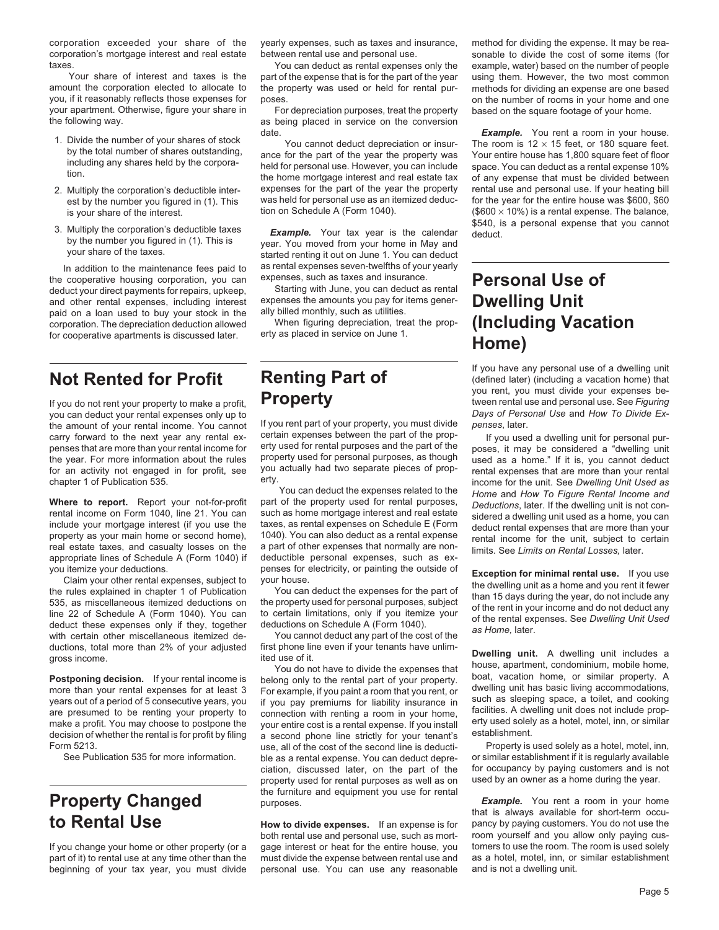your apartment. Otherwise, figure your share in For depreciation purposes, treat the property based on the square footage of your home.<br>the following way.<br>sheing placed in service on the conversion

- 
- 
- 

deduct your direct payments for repairs, upkeep, and other rental expenses, including interest expenses the amounts you pay for items gener-<br>paid on a loan used to buy your stock in the ally billed monthly, such as utilities.<br>corporation The depreciation deduction allowe

you can deduct your rental expenses only up to<br>the amount of your rental income, You cannot lif you rent part of your property, you must divide penses, later.

If you change your home or other property (or a gage interest or heat for the entire house, you part of it) to rental use at any time other than the must divide the expense between rental use and as a hotel, motel, inn, or similar establishment beginning of your tax year, you must divide personal use. You can use any reasonable and is not a dwelling unit.

Your share of interest and taxes is the part of the expense that is for the part of the year using them. However, the two most common amount the corporation elected to allocate to the property was used or held for rental p the property was used or held for rental pur- methods for dividing an expense are one based you, if it reasonably reflects those expenses for poses. The number of rooms in your home and one

as being placed in service on the conversion

3. Multiply the corporation's deductible taxes **Example.** Your tax year is the calendar deduct.<br>3. We humber you figured in (1). This is year. You moved from your home in May and<br>3. your share of the taxes.<br>540, is a perso In addition to the maintenance fees paid to as rental expenses seven-twelfths of your yearly<br>the cooperative housing corporation, you can expenses, such as taxes and insurance.

appropriate lines of Schedule A (Form 1040) if deductible personal expenses, such as ex-<br>you itemize your deductions. penses for electricity, or painting the outside of

**Postponing decision.** If your rental income is belong only to the rental part of your property. boat, vacation home, or similar property. A more than your rental expenses for at least 3 For example, if you paint a room th more than your rental expenses for at least 3 For example, if you paint a room that you rent, or<br>years out of a period of 5 consecutive years, you if you pay premiums for liability insurance in such as sleeping space, a to connection with renting a room in your home, and integral a dwelling unit does not include prop-<br>vour entire cost is a rental expense, If you install erty used solely as a hotel, motel, inn, or similar make a profit. You may choose to postpone the your entire cost is a rental expense. If you install erty used solel<br>decision of whether the rental is for profit by filing a second phone line strictly for your tenant's estab decision of whether the rental is for profit by filing a second phone line strictly for your tenant's establishment.<br>Form 5213. Isse all of the cost of the second line is deducti- Property is used solely as a hotel, motel, Im 5213. use, all of the cost of the second line is deducti-<br>See Publication 535 for more information. ble as a rental expense. You can deduct depre- or similar establishment if it is regularly available ble as a rental expense. You can deduct depre- or similar establishment if it is regularly available<br>ciation. discussed Tater, on the part of the for occupancy by paying customers and is not ciation, discussed later, on the part of the for occupancy by paying customers and is no<br>property used for rental purposes as well as on used by an owner as a home during the year. property used for rental purposes as well as on

both rental use and personal use, such as mort-<br>gage interest or heat for the entire house, you tomers to use the room. The room is used solely

corporation exceeded your share of the yearly expenses, such as taxes and insurance, method for dividing the expense. It may be reacorporation's mortgage interest and real estate between rental use and personal use. sonable to divide the cost of some items (for taxes. You can deduct as rental expenses only the example, water) based on the number of people

1. Divide the number of your shares of stock<br>by the total number of shares outstanding,<br>including any shares held by the corpora-<br>tion.<br>the home mortgage interest and real estate tax of any expense that must be divided be 2. Multiply the corporation's deductible inter-<br>expenses for the part of the year the property rental use and personal use. If your heating bill<br>est by the number you figured in (1). This was held for personal use as an it est by the number you figured in (1). This was held for personal use as an itemized deduc- for the year for the entire house was \$600, \$60<br>is your share of the interest the balance. is your share of the interest. the state of the interest. The balance, the vector on Schedule A (Form 1040).  $\sim$  (\$600 × 10%) is a rental expense. The balance,

# enses, such as taxes and insurance. **Personal Use of**<br>Starting with June, you can deduct as rental **Personal Use of** paid on a loan ascal to bay your stock in the corporation, the depreciation deduction allowed When figuring depreciation, treat the prop- **(Including Vacation** for cooperative apartments is discussed later. **Home**)

If you have any personal use of a dwelling unit **Not Rented for Profit Renting Part of** (defined later) (including a vacation home) that you rent, you must divide your expenses be-If you do not rent your property to make a profit, **Property**<br>Vou can deduct your rental expenses only up to<br>Zays of Personal Use and How To Divide Ex-

the amount of your rental income. You cannot if you rent part of your property, you must divide<br>carry forward to the next year any rental ex-<br>carry forward to the next year any rental ex-<br>errotin expenses between the part

you itemize your deductions.<br>
Claim your deductions. penses for electricity, or painting the outside of<br>
the rules explained in chapter 1 of Publication<br>
535, as miscellaneous itemized deductions on<br>
For the part of the pa

ductions, total more than 2% of your adjusted first phone line even if your tenants have unlim-<br>gross income. ited use of it. You do not have to divide the expenses that house, apartment, condominium, mobile home, house, apartment, condominium, mobile home, boat, vacation home, or similar property. A

the furniture and equipment you use for rental *Example.* You rent a room in your home<br>that is always available for short-term occuto Rental Use **How to divide expenses.** If an expense is for pancy by paying customers. You do not use the both rental use and personal use, such as mort- room yourself and you allow only paying cus-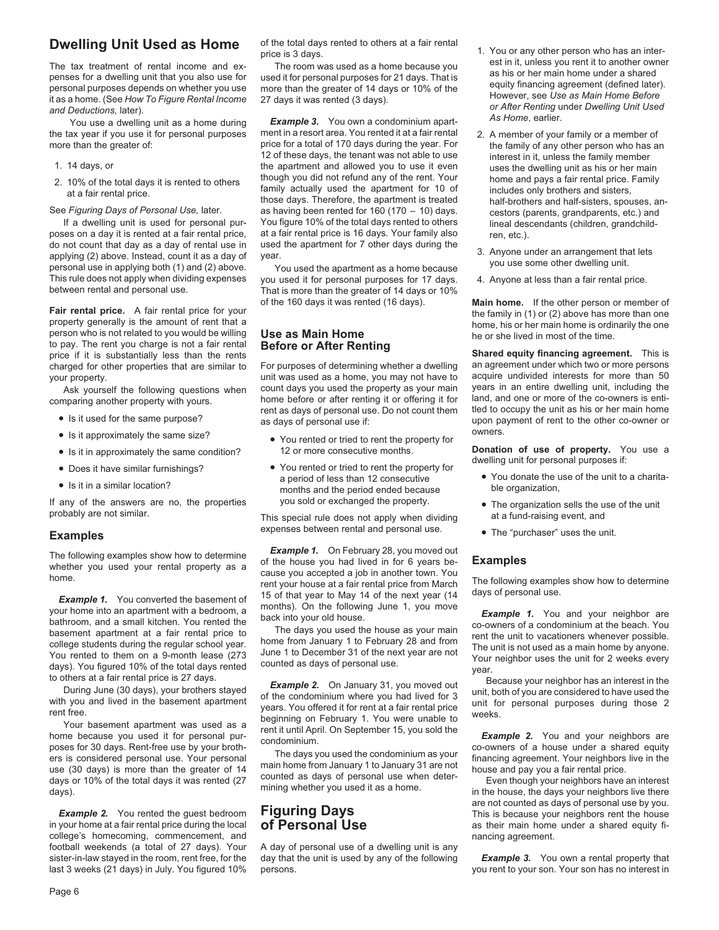- 
- 

poses on a day it is rented at a fair rental price, at a fair rental price is 16 days. Your family also ren, etc.).<br>do not count that day as a day of rental use in used the apartment for 7 other days during the above. Instead, count it as a day of year.<br>
This rule does not applying (2) above. This rule does not applying both (1) and (2) above. You used the apartment as a home because of you use some other dwelling unit.<br>
This rul This rule does not apply when dividing expenses you used it for personal purposes for 17 days. 4. Anyone at less than a fair rental price.<br>between rental and personal use. That is more than the greater of 14 days or 10%

person who is not related to you would be willing **USE as Main Home**<br>to pay. The rent you charge is not a fair rental **Before or After Renting**<br>price if it is substantially less than the rents **Shared equity financing agre** charged for other properties that are similar to For purposes of determining whether a dwelling an agreement under which two or more persons

- 
- 
- 
- 
- 

If any of the answers are no, the properties you sold or exchanged the property.<br>
The organization sells the use of the unit<br>
This special rule does not apply when dividing at a fund-raising event, and

The following examples show how to determine<br>
whether you used your rental property as a cause you and lived in for 6 years be-<br> **Examples**<br>
whence.<br>
Drame.<br>
Drame.<br> **Example 1.** You converted the basement of in 5 of that

college's homecoming, commencement, and<br>football weekends (a total of 27 days). Your A day of personal use of a dwelling unit is any football weekends (a total of 27 days). Your

the tax year if you use it for personal purposes ment in a resort area. You rented it at a fair rental 2. A member of your family or a member of price for a total of 170 days during the year. For the family of any other pe price for a total of 170 days during the year. For the family of any other person who has an 12 of these days, the tenant was not able to use interest in it unless the family member 12 of these days, the tenant was not able to use interest in it, unless the family member<br>1. 14 days, or the apartment and allowed you to use it even uses the dwelling unit as his or her main<br>1. 10% of the total days it is 2. 10% of the total days it is rented to others though you did not refund any of the rent. Your home and pays a fair rental price. Family actually used the apartment for 10 of at a fair rental price. Tamily actually used See Figuring Days of Personal Use, later. as having been rented for 160 (170 – 10) days. cestors (parents, grandparents, etc.) and<br>If a dwelling unit is used for personal pur- You figure 10% of the total days rented to oth

That is more than the greater of 14 days or 10% of the 160 days it was rented (16 days).

your property.<br>Ask yourself the following questions when count days you used the property as your main years in an entire dwelling unit, including the Ask yourself the following questions when count days you used the property as your main years in an entire dwelling unit, including the the co-owners is enti-<br>mearing another property with yours home before or after rentin comparing another property with yours. home before or after renting it or offering it for land, and one or more of the co-owners is enti-<br>rent as days of personal use. Do not count them the the to occupy the unit as his or

- Is it approximately the same size?<br>• Is it in approximately the same condition? <sup>•</sup> 12 or more consecutive months **Donation of use of property.** You use a
- Is it in approximately the same condition? 12 or more consecutive months. **Donation of use of property.** Yeven the property of the same condition? You rented or tried to rent the property for **a** period of less than 12

**Examples Examples Examples Examples Examples Examples Examples Examples Examples Examples Examples Examples Examples Examples Examples Examples Examples Examples Examples Examples E** 

sister-in-law stayed in the room, rent free, for the day that the unit is used by any of the following **Example 3.** You own a rental property that last 3 weeks (21 days) in July. You figured 10% persons. The match of the state of your son. Your son has no interest in

- **Dwelling Unit Used as Home** of the total days rented to others at a fair rental<br>
The tax treatment of rental income and ex-<br>
The room was used as a home because you<br>
penses for a dwelling unit that you also use for used i
	-
	-
	-

Fair rental price. A fair rental price for your of the 160 days it was rented (16 days). **Main home.** If the other person or member of the 160 days it was rented (16 days). **Main home.** If the other person or member of the

rent as days of personal use. Do not count them tled to occupy the unit as his or her main home<br>• Is it used for the same purpose? as days of personal use if:<br>• where she it are presented to the other co-owner or

- Is it in a similar location?<br>• Is it in a similar location? The months and the period ended because ble organization,
	-
	-

are not counted as days of personal use by you. **Example 2.** You rented the guest bedroom **Figuring Days** This is because your neighbors rent the house in your home at a fair rental price during the local **of Personal Use** as their main home under a shared equity fias their main home under a shared equity fi-<br>nancing agreement.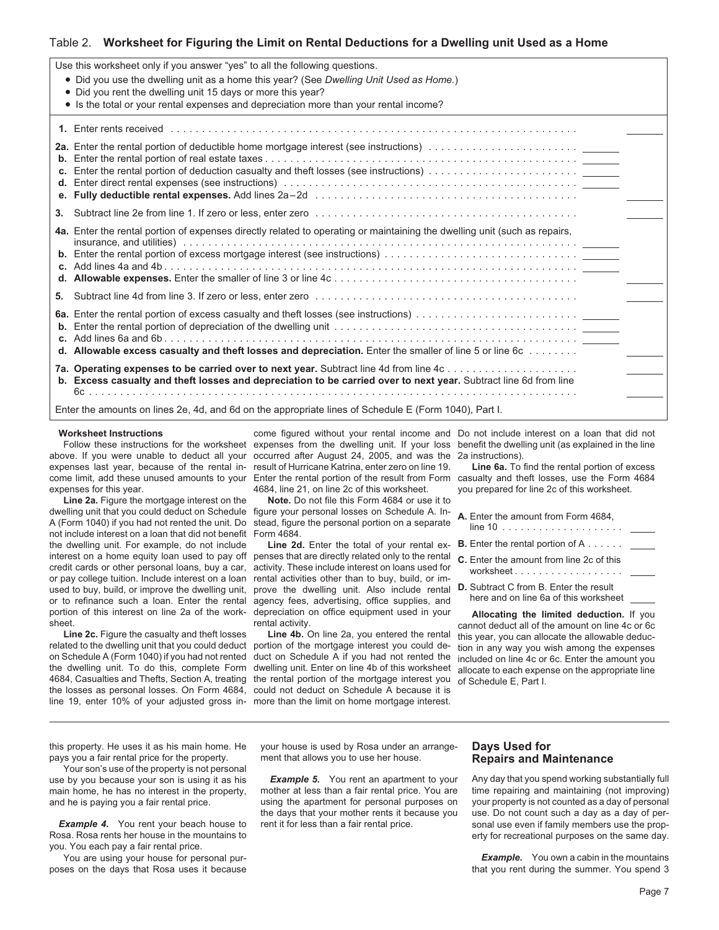## Table 2. **Worksheet for Figuring the Limit on Rental Deductions for a Dwelling unit Used as a Home**

|    | Use this worksheet only if you answer "yes" to all the following questions.<br>• Did you use the dwelling unit as a home this year? (See Dwelling Unit Used as Home.)<br>• Did you rent the dwelling unit 15 days or more this year?<br>• Is the total or your rental expenses and depreciation more than your rental income? |
|----|-------------------------------------------------------------------------------------------------------------------------------------------------------------------------------------------------------------------------------------------------------------------------------------------------------------------------------|
|    |                                                                                                                                                                                                                                                                                                                               |
| b. |                                                                                                                                                                                                                                                                                                                               |
| d. |                                                                                                                                                                                                                                                                                                                               |
| 3. |                                                                                                                                                                                                                                                                                                                               |
|    | 4a. Enter the rental portion of expenses directly related to operating or maintaining the dwelling unit (such as repairs,                                                                                                                                                                                                     |
| 5. |                                                                                                                                                                                                                                                                                                                               |
|    | d. Allowable excess casualty and theft losses and depreciation. Enter the smaller of line 5 or line 6c                                                                                                                                                                                                                        |
|    | b. Excess casualty and theft losses and depreciation to be carried over to next year. Subtract line 6d from line                                                                                                                                                                                                              |
|    | Enter the amounts on lines 2e, 4d, and 6d on the appropriate lines of Schedule E (Form 1040), Part I.                                                                                                                                                                                                                         |

come limit, add these unused amounts to your Enter the rental portion of the result from Form expenses for this year. 4684, line 21, on line 2c of this worksheet. expenses for this year. 4684, line 21, on line 2c of this worksheet. you prepared for line 2c of this worksheet.

dwelling unit that you could deduct on Schedule figure your personal losses on Schedule A. In-A (Form 1040) if you had not rented the unit. Do stead, figure the personal portion on a separate not include interest on a loan the dwelling unit. For example, do not include Line 2d. Enter the total of your rental exinterest on a home equity loan used to pay off penses that are directly related only to the rental credit cards or other personal loans, buy a car, activity. These include interest on loans used for or pay college tuition. Include interest on a loan rental activities other than to buy, build, or imused to buy, build, or improve the dwelling unit, prove the dwelling unit. Also include rental or to refinance such a loan. Enter the rental agency fees, advertising, office supplies, and portion of this interest on line 2a of the work- depreciation on office equipment used in your sheet.

Line 2c. Figure the casualty and theft losses Line 4b. On line 2a, you entered the rental this year, you can allocate the allowable deduc-<br>related to the dwelling unit that you could deduct portion of the mortgage interest related to the dwelling unit that you could deduct portion of the mortgage interest you could de-<br>on Schedule A (Form 1040) if you had not rented duct on Schedule A if you had not rented the included on line 4c or 6c. Ente on Schedule A (Form 1040) if you had not rented duct on Schedule A if you had not rented the included on line 4c or 6c. Enter the amount you<br>the dwelling unit. To do this, complete Form dwelling unit. Enter on line 4b of t the dwelling unit. To do this, complete Form dwelling unit. Enter on line 4b of this worksheet allocate to each expense on the appropriate line<br>4684, Casualties and Thefts, Section A, treating the rental portion of the mor the losses as personal losses. On Form 4684, line 19, enter 10% of your adjusted gross in- more than the limit on home mortgage interest.

**Worksheet Instructions** come figured without your rental income and Do not include interest on a loan that did not above. If you were unable to deduct all your occurred after August 24, 2005, and was the 2a instructions). expenses last year, because of the rental in- result of Hurricane Katrina, enter zero on line 19. **Line 6a.** To find the rental portion of excess

**Line 2a.** Figure the mortgage interest on the **Note.** Do not file this Form 4684 or use it to

the rental portion of the mortgage interest you of Schedule E, Part I.<br>could not deduct on Schedule A because it is

Follow these instructions for the worksheet expenses from the dwelling unit. If your loss benefit the dwelling unit (as explained in the line

| A. Enter the amount from Form 4684,                                                    |  |
|----------------------------------------------------------------------------------------|--|
| <b>B.</b> Enter the rental portion of A $\dots$                                        |  |
| <b>C.</b> Enter the amount from line 2c of this                                        |  |
| <b>D.</b> Subtract C from B. Enter the result<br>here and on line 6a of this worksheet |  |
| Allocating the limited deduction. If you                                               |  |

et. cannot deduct all of the amount on line 4c or 6c.<br>-Cime 2c. Figure the casualty and theft losses Line 4b. On line 2a, you entered the rental this year, you can allocate the allowable deduc

this property. He uses it as his main home. He your house is used by Rosa under an arrange- **Days Used for** pays you a fair rental price for the property. ment that allows you to use her house. **Repairs and Maintenance**

Your son's use of the property is not personal use by you because your son is using it as his **Example 5.** You rent an apartment to your Any day that you spend working substantially full<br>main home, he has no interest in the property mother at less than a fair rental pr main home, he has no interest in the property,

Rosa. Rosa rents her house in the mountains to error extends to error error error error error error error error error error error error error error error error error error error error error error error error error error er you. You each pay a fair rental price.

poses on the days that Rosa uses it because that you rent during the summer. You spend 3

and he is paying you a fair rental price. using the apartment for personal purposes on your property is not counted as a day of personal<br>the days that your mother rents it because you use. Do not count such a day as a day the days that your mother rents it because you **Example 4.** You rent your beach house to rent it for less than a fair rental price. sonal use even if family members use the prop-

You are using your house for personal pur- *Example.* You own a cabin in the mountains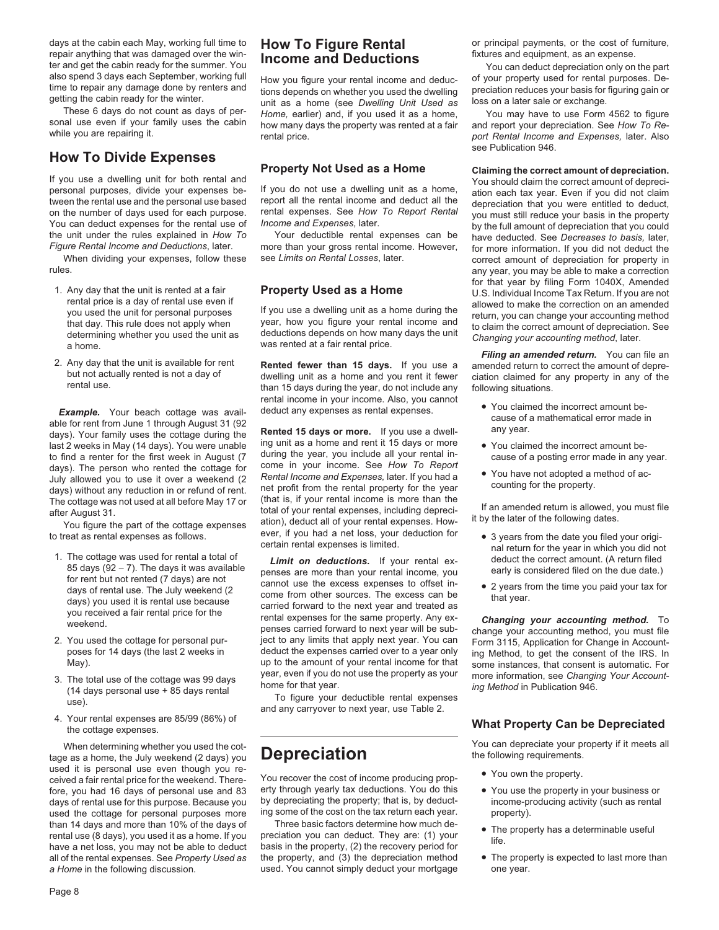days at the cabin each May, working full time to **How To Figure Rental** or principal payments, or the cost of furniture,<br>repair anything that was damaged over the win- Income and Deductions fixtures and equipment, as an ex also spend 3 days each September, working full How you figure your rental income and deduc-<br>
time to repair any damage done by renters and tions depends on whether you used the dwelling preciation reduces your basis for fi

**How To Divide Expenses**<br>
If you use a dwelling unit for both rental and<br>
personal purposes, divide your expenses be-<br>
If you do not use a dwelling unit as a home,<br>
tween the rental use and the personal use based<br>
on the n

When dividing your expenses, follow these see *Limits on Rental Losses*, later. correct amount of depreciation for property in<br>rules a correction for property in the shall to make a correction

- 
- 

**Example.** Your beach cottage was avail-<br>able for rent from June 1 through August 31 (92<br>days). Your family uses the cottage during the **Rented 15 days or more.** If you use a dwell-<br>last 2 weeks in May (14 days). You were

- 
- 
- 3. The total use of the cottage was 99 days<br>
(14 days personal use + 85 days rental<br>
To figure your deductible rental expenses<br>
and any carryover to next year, use Table 2.<br>
The total in Publication 946.<br>
To figure your de
- 4. Your rental expenses are 85/99 (86%) of **What Property Can be Depreciated** the cottage expenses.

When determining whether you used the cot-<br> **Depreciation** and the following requirements.<br> **Example 20** the following requirements. used it is personal use even though you re-<br>
ceived a fair rental price for the weekend. There-<br>
fore, you had 16 days of personal use and 83 erty through yearly tax deductions. You do this  $\bullet$  You use the property in used the cottage for personal purposes more ing some of the cost on the tax return each year. property). than 14 days and more than 10% of the days of<br>rental use (8 days), you used it as a home. If you preciation you can deduct. They are: (1) your<br>have a net loss, you may not be able to deduct basis in the property, (2) the

time to repair any damage done by remers and<br>getting the cabin ready for the winter.<br>These 6 days do not count as days of per-<br>These 6 days do not count as days of per-<br>Home earlier) and if you used it as a home<br>rised it a These 6 days do not count as days of per-<br>sonal use even if your family uses the cabin<br>while you are repairing it.<br>rental price<br>rental price<br>rental price<br>rental price<br>norf Rental Income and Expenses later. Also rental price. *port Rental Income and Expenses, later. Also port Rental Income and Expenses, later. Also* 

*Figure Rental Income and Deductions*, later. The unit under the rules explained in *How 10* Your deductible rental expenses can be have deducted. See *Decreases to basis*, later, *Figure Rental Income and Deductions*, lat

you used the unit for personal purposes of you use a dwelling unit as a home during the<br>that day. This rule does not apply when year, how you figure your rental income and<br>determining whether you used the unit as deduction

to find a renter for the first week in August (7 during the year, you include all your rental inclusion of a posting error made in any year.<br>
days). The person who rented the cottage for come in your income. See How To Rep The cottage was not used at all before May 17 or (that is, if your rental income is more than the total of your rental expenses, including depreci-<br>
You figure the part of the cottage expenses and total of your rental expe

85 days (92 − 7). The days it was available penses are more than your rental income, you<br>for rent but not rented (7 days) are not example use the excess expenses to offect in For rent but not rented (7 days) are not<br>
days of rental use. The July weekend (2<br>
days of rental use is rental use because<br>
you received a fair rental price for the<br>
weekend.<br>
Weekend.<br>
Weekend a come from other sources. penses carried forward to next year will be sub-<br>2. You used the cottage for personal pur-<br>poses for 14 days (the last 2 weeks in deduct the expenses carried over to a year only in a Method, to get the consent of the IRS. poses for 14 days (the last 2 weeks in deduct the expenses carried over to a year only ing Method, to get the consent of the IRS. In<br>May), May we to the amount of your rental income for that some instances, that consent is up to the amount of your rental income for that some instances, that consent is automatic. For<br>year, even if you do not use the property as your more information, see Changing Your Account-

fore, you had 16 days of personal use and 83 erty through yearly tax deductions. You do this • You use the property in your business or days of rental use for this purpose. Because you by depreciating the property; that is days of rental use for this purpose. Because you by depreciating the property; that is, by deduct-<br>used the cottage for personal purposes more ing some of the cost on the tax return each year. [property].

all of the rental expenses. See *Property Used as* the property, and (3) the depreciation method • The property is expected to last more than a Home in the following discussion. **used.** You cannot simply deduct your mortgage one year.

see Publication 946.

any year, you may be able to make a correction<br>for that year by filing Form 1040X, Amended 1. Any day that the unit is rented at a fair<br>I. Any day that the unit is rented at a fair<br>If you use a duraling unit as a home<br>If you use a duraling unit as a home during the allowed to make the correction on an amended

**Filing an amended return.** You can file an amended return to correct the amount of depre-2. Any day that the unit is available for rent<br>but not actually rented is not a day of divelling unit as a home and you rent it fewer ciation claimed for any property in any of the<br>rental use. Then than 15 days during the

- 
- 
- 

- 1. The cottage was used for rental a total of *Limit on deductions.* If your rental ex- nal return for the year in which you did not *Limit on deductions.* If your rental ex- deduct the correct amount. (A return filed 85 d
	-

- 
- 
- 
-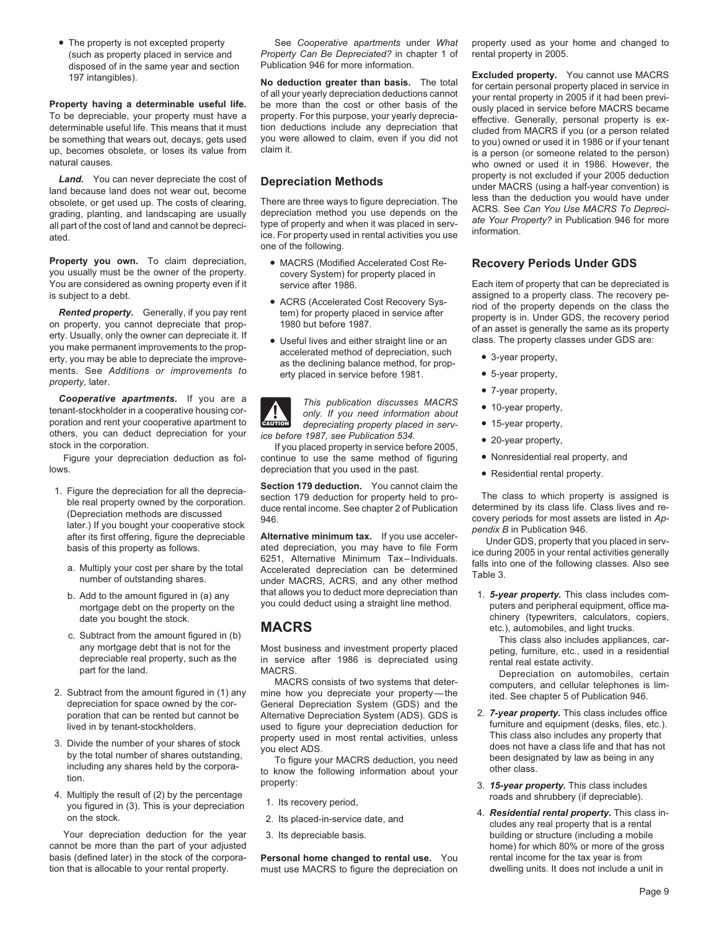disposed of in the same year and section

be something that wears out, decays, gets used you were allowed to claim, even if you did not to you) owned or used it in 1986 or if your tenant up, becomes obsolete, or loses its value from claim it. The person is a perso

**Land.** You can never depreciate the cost of<br>land because land does not wear out, become<br>obsolete, or get used up. The costs of clearing, There are three ways to figure depreciation. The<br>grading, planting, and landscaping

**Property you own.** To claim depreciation, <br>
you usually must be the owner of the property. covery System) for property placed in<br>
You are considered as owning property even if it service after 1986. Each item of property

is subject to a debt.<br> **Rented property**. Generally, if you pay rent<br> **Rented property**. Generally, if you pay rent<br>
on property, you cannot depreciate that property also the class the covery Sys-<br>
on property, you cannot

others, you can deduct depreciation for your<br>stock in the corporation. If you placed property in service before 2005,<br>Figure your depreciation deduction as fol-<br>continue to use the same method of figuring <br>Nonresidential r

lows. depreciation that you used in the past. • Residential rental property.

- 1. Figure the depreciation for all the deprecia-<br>
ble real property owned by the corporation.<br>
(Depreciation methods are discussed<br>
letter.) If you bought your cooperative stock<br>
letter.) If you bought your cooperative sto
	-
	-
- 2. Subtract from the amount figured in (b)<br>
any mortgage debt that is not for the<br>
any mortgage debt that is not for the<br>
depreciable real property, such as the<br>
depreciable real property, such as the<br>
any mortgage debt th
- 
- 
- 4. Multiply the result of (2) by the percentage 1. Its recovery period,<br>you figured in (3). This is your depreciation 1. Its recovery period,<br>2. Its placed-in-service date, and 4. **Residential rental property.** This class

cannot be more than the part of your adjusted<br>basis (defined later) in the stock of the corpora-<br>**Personal home changed to rental use.** You rental income for the tax year is from basis (defined later) in the stock of the corpora- **Personal home changed to rental use.** You rental income for the tax year is from

• The property is not excepted property See *Cooperative apartments* under *What* property used as your home and changed to (such as property placed in service and *Property Can Be Depreciated?* in chapter 1 of rental property in 2005.<br>disposed of in the same vear and section Publication 946 for more information.

**Example than basis.** The total<br>
Froperty having a determinable useful life.<br>
To be depreciable, your property must have a<br>
To be depreciable, your property must have a property. For this purpose, your yearly depreciable<br>

one of the following.

- 
- 
- 

CAUTION

Figure your depreciation deduction as fol- continue to use the same method of figuring

after its first offering, figure the depreciable **Alternative minimum tax.** If you use acceler-<br>basis of this property as follows.<br>a. Multiply your cost per share by the total activities depreciation, you may have to file b. Add to the amount figured in (a) any that allows you to deduct more depreciation than 1. **5-year property.** This class includes com-

depreciation for space owned by the cor-<br>
poration that can be rented but cannot be Alternative Depreciation System (ADS). GDS is 2. **7-year property.** This class includes office<br>
lived in by tenant-stockholders used to fi

- 
- 
- 

must use MACRS to figure the depreciation on dwelling units. It does not include a unit in

197 intangibles).<br>**No deduction greater than basis.** The total for certain personal property placed in service in who owned or used it in 1986. However, the

You are considered as owning property even if it service after 1986. Each item of property that can be depreciated is<br>is subject to a debt. A service and the service of the service after 1986. A service assigned to a prope

- 
- 
- 
- 
- 
- 
- 
- 

mortgage debt on the property on the you could deduct using a straight line method. puters and peripheral equipment, office madate you bought the stock.<br> **MACRS** etc.), automobiles, and light trucks.

- ived in by tenant-stockholders.<br>
3. Divide the number of your shares of stock property used in most rental activities, unless<br>
3. Divide the number of your shares of stock you elect ADS.<br>
by the total number of shares outs
	-
- Your depreciation deduction for the year 3. Its depreciable basis. The state of pullding or structure (including a mobile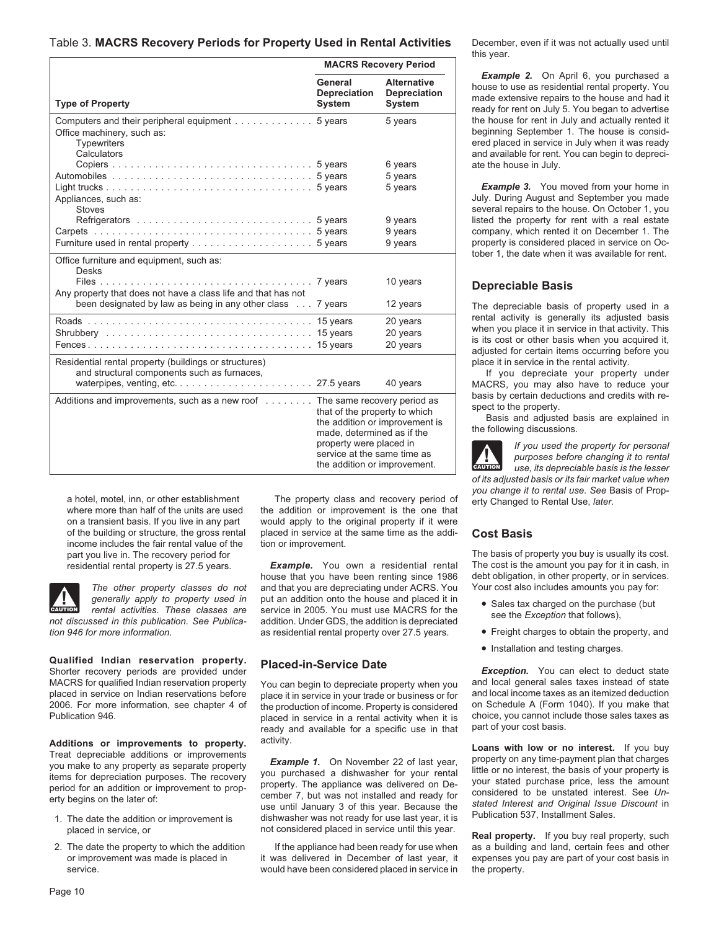## Table 3. **MACRS Recovery Periods for Property Used in Rental Activities** December, even if it was not actually used until

|                                                                                                                                                                                         |                                                                                        |                                                            | this year.                                                                                                                                                                                                |
|-----------------------------------------------------------------------------------------------------------------------------------------------------------------------------------------|----------------------------------------------------------------------------------------|------------------------------------------------------------|-----------------------------------------------------------------------------------------------------------------------------------------------------------------------------------------------------------|
|                                                                                                                                                                                         |                                                                                        | <b>MACRS Recovery Period</b>                               |                                                                                                                                                                                                           |
| <b>Type of Property</b>                                                                                                                                                                 | General<br><b>Depreciation</b><br><b>System</b>                                        | <b>Alternative</b><br><b>Depreciation</b><br><b>System</b> | <b>Example 2.</b> On April 6, you purchased a<br>house to use as residential rental property. You<br>made extensive repairs to the house and had it<br>ready for rent on July 5. You began to advertise   |
| Computers and their peripheral equipment 5 years<br>Office machinery, such as:<br><b>Typewriters</b><br>Calculators                                                                     |                                                                                        | 5 years                                                    | the house for rent in July and actually rented it<br>beginning September 1. The house is consid-<br>ered placed in service in July when it was ready<br>and available for rent. You can begin to depreci- |
|                                                                                                                                                                                         |                                                                                        | 6 years                                                    | ate the house in July.                                                                                                                                                                                    |
|                                                                                                                                                                                         |                                                                                        | 5 years                                                    |                                                                                                                                                                                                           |
| Appliances, such as:<br><b>Stoves</b>                                                                                                                                                   |                                                                                        | 5 years                                                    | <b>Example 3.</b> You moved from your home in<br>July. During August and September you made<br>several repairs to the house. On October 1, you                                                            |
|                                                                                                                                                                                         |                                                                                        | 9 years                                                    | listed the property for rent with a real estate                                                                                                                                                           |
|                                                                                                                                                                                         |                                                                                        | 9 years                                                    | company, which rented it on December 1. The                                                                                                                                                               |
|                                                                                                                                                                                         |                                                                                        | 9 years                                                    | property is considered placed in service on Oc-                                                                                                                                                           |
| Office furniture and equipment, such as:<br><b>Desks</b><br>Any property that does not have a class life and that has not<br>been designated by law as being in any other class 7 years |                                                                                        | 10 years<br>12 years                                       | tober 1, the date when it was available for rent.<br><b>Depreciable Basis</b><br>The depreciable basis of property used in a                                                                              |
|                                                                                                                                                                                         |                                                                                        | 20 years                                                   | rental activity is generally its adjusted basis                                                                                                                                                           |
|                                                                                                                                                                                         |                                                                                        | 20 years                                                   | when you place it in service in that activity. This                                                                                                                                                       |
|                                                                                                                                                                                         |                                                                                        | 20 years                                                   | is its cost or other basis when you acquired it,<br>adjusted for certain items occurring before you                                                                                                       |
| Residential rental property (buildings or structures)<br>and structural components such as furnaces,                                                                                    |                                                                                        | 40 years                                                   | place it in service in the rental activity.<br>If you depreciate your property under<br>MACRS, you may also have to reduce your                                                                           |
| Additions and improvements, such as a new roof The same recovery period as                                                                                                              | that of the property to which<br>made, determined as if the                            | the addition or improvement is                             | basis by certain deductions and credits with re-<br>spect to the property.<br>Basis and adjusted basis are explained in<br>the following discussions.                                                     |
|                                                                                                                                                                                         | property were placed in<br>service at the same time as<br>the addition or improvement. |                                                            | If you used the property for personal<br>purposes before changing it to rental<br>use, its depreciable basis is the lesser<br><b>CAUTION</b><br>of its adjusted basis or its fair market value when       |

income includes the fair rental value of the



**Qualified Indian reservation property. Placed-in-Service Date** *Exception.* **You can elect to deduct state Shorter recovery periods are provided under <b>Placed-in-Service Date** *Exception.* You can elect to deduct state MACRS for qualified Indian reservation property You can begin to depreciate property when you and local general sales taxes instead of state placed in service on Indian reservations before place it in service in your trade 2006. For more information, see chapter 4 of the production of income. Property is considered on Schedule A (Form 1040). If you make that that that the production of income. Property is considered on Schedule A (Form 1040)

- 
- 

a hotel, motel, inn, or other establishment The property class and recovery period of erty Changed to Rental Use, *later*.<br>where more than half of the units are used the addition or improvement is the one that where more than half of the units are used the addition or improvement is the one that on a transient basis. If you live in any part would apply to the original property if it were would apply to the original property if it were of the building or structure, the gross rental placed in service at the same time as the addi- **Cost Basis**

house that you have been renting since 1986 *The other property classes do not* and that you are depreciating under ACRS. You Your cost also includes amounts you pay for: generally apply to property used in put an addition onto the house and placed it in<br>rental activities. These classes are service in 2005. You must use MACRS for the see the Exception that follows), not discussed in this publication. See Publica-<br>
addition. Under GDS, the addition is depreciated *tion 946 for more information.* as residential rental property over 27.5 years. • Freight charges to obtain the property, and

place it in service in your trade or business or for and local income taxes as an itemized deduction<br>the production of income Property is considered on Schedule A (Form 1040). If you make that placed in service in a rental activity when it is choice, you cannot include ready and available for a specific use in that part of your cost basis.

service. would have been considered placed in service in the property.

this year.

If you used the property for personal<br>purposes before changing it to rental<br>use, its depreciable basis is the lesser CAUTION *of its adjusted basis or its fair market value when*

part you live in. The recovery period for **Example.** You own a residential rental The basis of property you buy is usually its cost.<br>The cost is the amount you pay for it in cash, in residential rental The cost is the amou **Example.** You own a residential rental The cost is the amount you pay for it in cash, in use that you have been renting since 1986 debt obligation, in other property, or in services.

- 
- 
- Installation and testing charges.

**Additions or improvements to property.** activity.<br>
Treat depreciable additions or improvements<br>
you make to any property as separate property<br>
you purchased a dishwasher for your rental<br>
itens for depreciation purposes. T

placed in service, or not considered placed in service until this year.<br>2. The date the property to which the addition If the appliance had been ready for use when as a building and land, certain fees and other as a building and land, certain fees and other or improvement was made is placed in it was delivered in December of last year, it expenses you pay are part of your cost basis in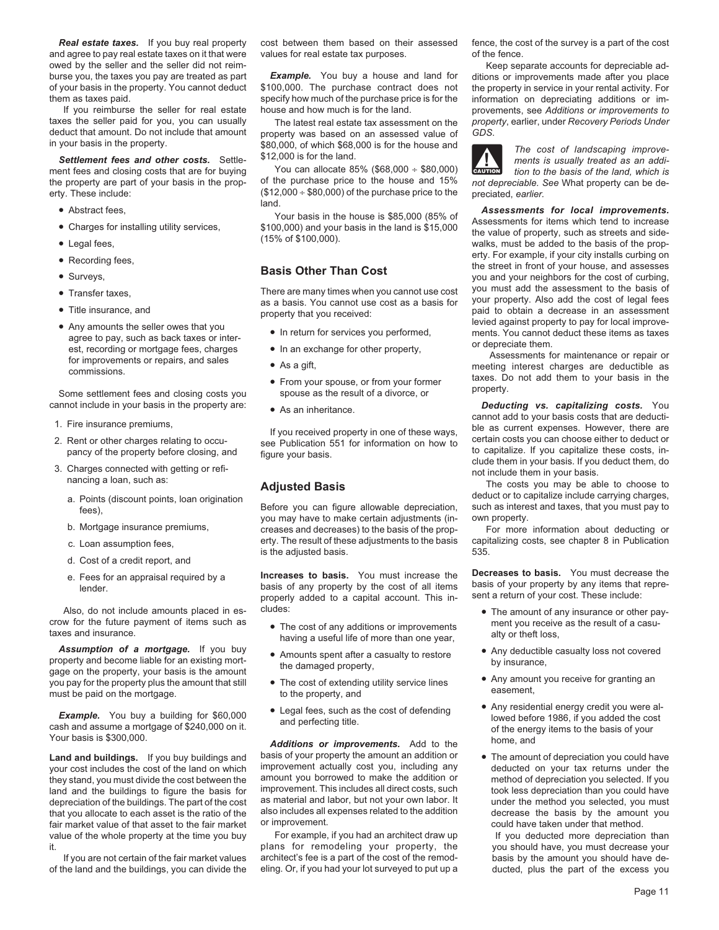and agree to pay real estate taxes on it that were values for real estate tax purposes. of the fence. owed by the seller and the seller did not reim-<br>burse you, the taxes you pay are treated as part Example. You buy a house and land for ditions or improvements made after you place burse you, the taxes you pay are treated as part **Example.** You buy a house and land for ditions or improvements made after you place of your basis in the property. You cannot deduct \$100,000. The purchase contract does no

taxes the seller paid for you, you can usually The latest real estate tax assessment on the *property*, earlier, under *Recovery Periods Under* deduct that amount. Do not include that amount property was based on an assess deduct that amount. Do not include that amount property was based on an assessed value of in your basis in the property.

ment fees and closing costs that are for buying You can allocate 85% (\$68,000 ÷ \$80,000) **CAUTION** *tion to the basis of the land, which is* the property are part of your basis in the prop- of the purchase price to the hou the property are part of your basis in the prop-

- 
- 
- 
- 
- 
- 
- 
- 

- 
- 
- -
	-
	-
	- d. Cost of a credit report, and
	-

Also, do not include amounts placed in es- cludes:<br>
crow for the future payment of items such as<br>
a The acet of any additions a improvement of your receive as the result of a casu-

**Assumption of a mortgage.** If you buy<br>
property and become liable for an existing mort-<br>
gage on the property, your basis is the amount that still<br>
you pay for the property plus the amount that still<br>
you pay for the prop

your cost includes the cost of the land on which improvement actually cost you, including any deducted on your tax returns under the the state of the land on which improvement actually cost you, including any deducted on y they stand, you must divide the cost between the amount you borrowed to make the addition or method of depreciation you selected. If you<br>Iand and the buildings to figure the basis for improvement. This includes all direct land and the buildings to figure the basis for improvement. This includes all direct costs, such depreciation of the buildings. The part of the cost as material and labor, but not your own labor. It depreciation of the buildings. The part of the cost as material and labor, but not your own labor. It under the method you selected, you must that you allocate to each asset is the ratio of the also includes all expenses r that you allocate to each asset is the ratio of the also includes all the ration of the addition decrease to the fair market or improvement. fair market value of that asset to the fair market or improvement. The same of the could have taken under that method. value of the whole property at the time you buy For example, if you had an architect draw up If you deducted more depreciation than plans for remodeling your property, the vou should have, you must decrease your

of the land and the buildings, you can divide the eling. Or, if you had your lot surveyed to put up a ducted, plus the part of the excess you

Real estate taxes. If you buy real property cost between them based on their assessed fence, the cost of the survey is a part of the cost

them as taxes paid. specify how much of the purchase price is for the information on depreciation on the seller for real estate house and how much is for the land.

erty. These include: (\$12,000 ÷ \$80,000) of the purchase price to the preciated, *earlier.*

- 
- 
- 
- 
- 

creases and decreases) to the basis of the prop-<br>For more information about deducting or

basis of any property by the cost of all items basis of your property by any items that repre-<br>connectly added to a capital account. This in-<br>sent a return of your cost. These include: properly added to a capital account. This in-

- 
- 
- 
- 

Land and buildings. If you buy buildings and basis of your property the amount an addition or  $\bullet$  The amount of depreciation you could have your cost includes the cost of the land on which improvement actually cost you, i

plans for remodeling your property, the you should have, you must decrease your If you are not certain of the fair market values architect's fee is a part of the cost of the remod-<br>
In land and the buildings, you can divide the eling. Or, if you had your lot surveyed to put up a ducted, plus the part

the property in service in your rental activity. For<br>information on depreciating additions or im-If you reimburse the seller for real estate house and how much is for the land. provements, see *Additions or improvements to*

your basis in the property.<br> **SECULD SECULD SECULD SECULD SECULD SECULD SECULD SECULD SECULD SECULD SECULD SECULD SECULD SECULD SECULD SECU<br>
Settlement fees and closing costs that are for buving You can allocate 85% (\$68, !**

and.<br>
• Abstract fees,<br>
• Charges for installing utility services,<br>
• Charges for installing utility services,<br>
• Legal fees,<br>
• Legal fees,<br>
• Legal fees,<br>
• Legal fees,<br>
• Legal fees,<br>
• Legal fees,<br>
• Legal fees,<br>
• Le erty. For example, if your city installs curbing on<br> **Example Activity installs curbing on** the street in front of your house, and assesses<br> **Basis Other Than Cost**<br> **Example 1999** and your neighbors for the cost of curbin • Transfer taxes,<br>
• Then eare many times when you cannot use cost you must add the assessment to the basis of<br>
• Any amounts the seller owes that you<br>
• Any amounts the seller owes that you<br>
• Any amounts the seller owes

Cannot include in your basis in the property are:<br>1. Fire insurance premiums,<br>2. Rent or other charges relating to occu-<br>2. Rent or other charges relating to occu-<br>2. Rent or other charges relating to occu-<br>2. Rent or othe pancy of the property before closing, and<br>3. Charges connected with getting or refi-<br>ancing a loan, such as:<br>**Adjusted Basis**<br>**Adjusted Basis**<br>**Adjusted Basis**<br>**Adjusted Basis** 

a. Points (discount points, loan origination<br>fees),<br>b. Mortgage insurance premiums,<br>b. Mortgage insurance premiums,<br>b. Mortgage insurance premiums,<br>creases and decreases) to the basis of the prop-<br>For more information, abo

erty. The result of these adjustments to the basis capitalizing costs, see chapter 8 in Publication c. Loan assumption fees, is the adjusted basis. 535.

**Increases to basis.** You must increase the **Decreases to basis.** You must decrease the **E.** Fees for an appraisal required by a **Increases to basis.** You must decrease the e. Fees for an appraisal repre-

- crow for the future payment of items such as extra ment you receive as the result of a casu-<br>taxes and insurance. alty or theft loss, having a useful life of more than one year, alty or theft loss,
	-
	-
- **Example.** You buy a building for \$60,000 <br>cash and assume a mortgage of \$240,000 on it.<br>Your basis is \$300,000.<br>Your basis is \$300,000.<br>Additions or improvements. Add to the the same and bender the basis of your<br>Additions
	-

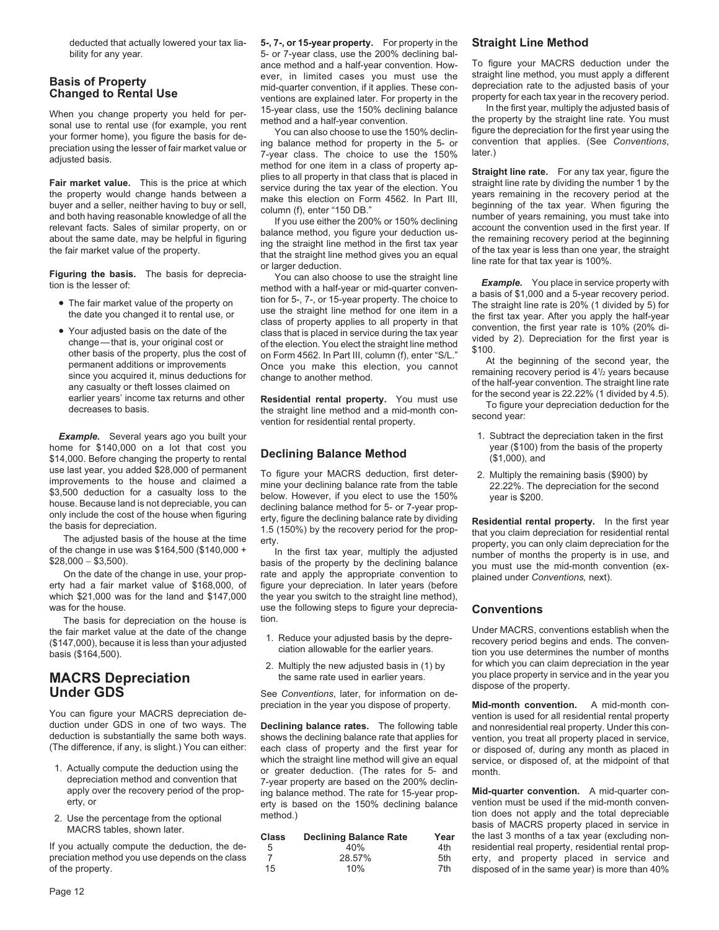- 
- since you acquired it, minus deductions for<br>any casualty or theft losses claimed on<br>earlier years' income tax returns and other<br>decreases to basis.<br>decreases to basis.<br>the straight line method and a mid-month con-<br>vention

**Example.** Several years ago you built your **1. Subtract the depreciation taken in the first**<br>home for \$140,000 on a lot that cost you **need in the property** year (\$100) from the basis of the property home for \$140,000 on a lot that cost you **Declining Balance Method** (\$1,000), and  $(31,000)$ , and

which \$21,000 was for the land and \$147,000 the year you switch to the straight line method),

The basis for depreciation on the house is the fair market value at the date of the change the stablish when the Under MACRS, conventions establish when the<br>(\$147,000) because it is less than your adjusted 1. Reduce your adjusted basis by the depre- recovery period

You can figure your MACRS depreciation de-<br>duction under GDS in one of two ways. The **Declining balance rates**. The following table and nonresidential real property Under this conduction under GDS in one of two ways. The **Declining balance rates.** The following table and nonresidential real property. Under this con-<br>deduction is substantially the same both ways. shows the declining balance rate tha deduction is substantially the same both ways. shows the declining balance rate that applies for vention, you treat all property placed in service,<br>(The difference, if any, is slight.) You can either: each class of propert

- 
- 

If you actually compute the deduction, the de- 5  $\frac{40\%}{40\%}$  4th residential real property, residential rental prop-<br>preciation method you use depends on the class 7 28.57% 5th erty, and property placed in service and preciation method you use depends on the class 7<br>28.57% 5th erty, and property placed in service and<br>28.57% 7th disposed of in the same year) is more than 40%

deducted that actually lowered your tax lia- **5-, 7-, or 15-year property.** For property in the **Straight Line Method** bility for any year. The same state of the 200% of 7-year class, use the 200% declining balance method and a half-year convention. How-<br>ever in limited cases you must use the straight line method, you must apply a different **Basis of Property**<br>
ever, in limited cases you must use the straight line method, you must apply a different<br>
Changed to Rental Use<br>
the the texplained later. For property in the property for each tax year in the recovery

When you change property you held for per-<br>  $\frac{15}{2}$  method and a half-year convention,<br>
some the first sychamic some to the state in the first year cluster is to fore sample in the state of the state of the state of th

use last year, you added \$28,000 of permanent<br>
states and claimed a mine your MACRS deduction, first deter-<br>
states and claimed a mine your declining balance rate from the table<br>
states of the house and claimed below. Howe

was for the house.<br>The hasis for depreciation on the house is tion.<br>The hasis for depreciation on the house is tion.

- 
- 

preciation in the year you dispose of property. **Mid-month convention.** A mid-month con-

each class of property and the first year for or disposed of, during any month as placed in which the straight line method will give an equal service, or disposed of, at the midpoint of that which the straight line method will give an equal service, or disposed of, at the midpoint of that 1. Actually compute the deduction using the or greater deduction. (The rates for 5- and month.<br>depreciation method and conv depreciation method and convention that <br>apply over the recovery period of the prop- ing balance method. The rate for 15-year prop- **Mid-quarter convention.** A mid-quarter con-<br>erty is based on the 150% declining balance v erty is based on the 150% declining balance vention must be used if the mid-month conven-<br>method.) does not apply and the total depreciable

| Class | <b>Declining Balance Rate</b> | Yea |
|-------|-------------------------------|-----|
| -5    | 40%                           | 4tł |
|       | 28.57%                        | 5th |
| 15    | 10%                           | 7tł |

- 
- 

(\$147,000), because it is less than your adjusted<br>basis (\$164,500). ciation allowable for the earlier years.<br>Multiply the new adjusted basis in (1) by for which you can claim depreciation in the year 2. Multiply the new adjusted basis in (1) by for which you can claim depreciation in the year<br>
The same rate used in earlier years.<br>
Under GDS See Conventions, later, for information on de-<br>
See Conventions, later, for inf

2. Use the percentage from the optional method.) the total depreciable the percentage from the optional method.)<br>MACRS tables, shown later. **Class Declining Balance Rate** Year the last 3 months of a tax year (excluding non disposed of in the same year) is more than 40%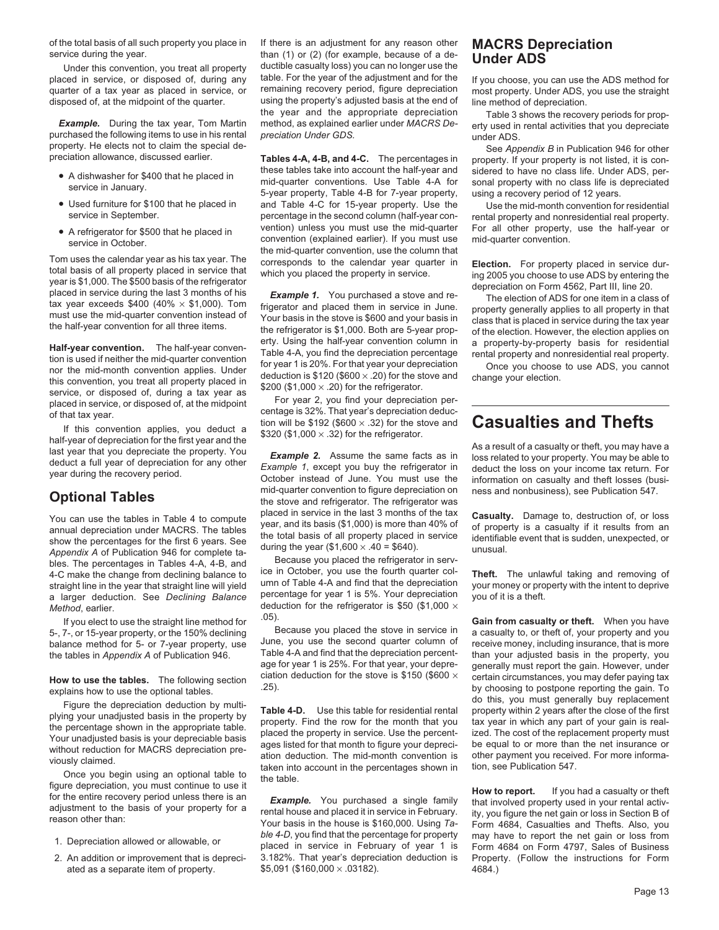property. He elects not to claim the special de-<br>preciation allowance, discussed earlier. **Tables 4-A, 4-B, and 4-C.** The percentages in property if your property is not listed it is con-

- 
- 
- 

Tom uses the calendar year as his tax year. The corresponds to the calendar year quarter in **Election.** For property placed in service dur-<br>total basis of all property placed in service that which you placed the property i

Half-year convention. The half-year convention erty. Using the half-year convention column in a property-by-property basis for residential<br>tion is used if neither the mid-quarter convention<br>nor the mid-month convention ap

and the survention applies, you deduct a \$320 (\$1,000 x .32) for the refrigerator.<br>
As a result of a casualty or theft, you may have a<br>
last year that you depreciation for the first year and the sample 2. Assume the same f

 $\mu$  and  $\mu$  of Publication 946 for complete ta<br>bles. The percentages in Tables 4-A, 4-B, and<br>4-C make the change from declining balance to ice in October, you use the fourth quarter col-<br>4-C make the change from declini

balance method for 5- or 7-year property, use June, you use the second quarter column of the tables in Appendix A of Publication 946.

In taken into account in the percentages shown in<br>Once you begin using an optional table to<br>figure depreciation, you must continue to use it

- 
- ated as a separate item of property.  $$5,091 ($160,000 \times .03182)$ . 4684.)

of the total basis of all such property you place in If there is an adjustment for any reason other **MACRS Depreciation** service during the year. than (1) or (2) (for example, because of a de- **Under ADS** Under this convention, you treat all property ductible casualty loss) you can no longer use the<br>ced in service, or disposed of, during any table. For the year of the adjustment and for the placed in service, or disposed of, during any table. For the year of the adjustment and for the If you choose, you can use the ADS method for<br>quarter of a tax year as placed in service, or cremaining recovery period, figur quarter of a tax year as placed in service, or remaining recovery period, figure depreciation most property. Under ADS, you use the straight disposed of, at the midpoint of the quarter. Under all using the property's adjus using the property's adjusted basis at the end of line method of depreciation.<br>the year and the appropriate depreciation  $\tau$  and 3 shows the recove

**Tables 4-A, 4-B, and 4-C.** The percentages in property. If your property is not listed, it is con-<br>these tables take into account the half-year and sidered to have no class life. Under ADS, per-• A dishwasher for \$400 that he placed in<br>service in January.<br>Use Table 4-A for sonal property with no class life is depreciated<br>5-year property, Table 4-B for 7-year property, using a recovery period of 12 years.<br>• Used f Used furniture for \$100 that he placed in and Table 4-C for 15-year property. Use the service in September. percentage in the second column (half-year con-<br>rental property and nonresidential real property. • A refrigerator for \$500 that he placed in vention) unless you must use the mid-quarter For all other property, use the half-year or convention (explained earlier). If you must use mid-quarter convention. the mid-quarter convention, use the column that corresponds to the calendar year quarter in

If this convention applies, you deduct a tion will be \$192 (\$600 × .32) for the stove and **Casualties and Thefts** 

mid-quarter convention to figure depreciation on ness and nonbusiness), see Publication 547.<br>**Optional Tables** the stove and refrigerator. The refrigerator was You can use the tables in Table 4 to compute<br>annual depreciation under MACRS. The tables<br>show the percentages for the first 6 years. See the total basis (\$1,000) is more than 40% of property is a casualty if it results fr

a larger deduction. See *Declining Balance* percentage for year 1 is 5%. Your depreciation you of it is a theft.<br>
Method, earlier. deduction for the refrigerator is \$50 (\$1,000  $\times$  ,05).

the 4-D, you find that the percentage for property may have to report the net gain or loss from<br>placed in service in February of year 1 is Form 4684 on Form 4797, Sales of Business 2. An addition or improvement that is depreci- 3.182%. That year's depreciation deduction is Property. (Follow the instructions for Form ated as a separate item of property. \$5,091 (\$160,000 x .03182). 4684.)

the year and the appropriate depreciation Table 3 shows the recovery periods for prop-<br>Example. During the tax year, Tom Martin method, as explained earlier under MACRS De- erty used in rental activities that you depreciat

If you elect to use the straight line method for <sup>US).</sup><br>T-, or 15-year property, or the 150% declining Because you placed the stove in service in a casualty to, or theft of, your property and you 5-, 7-, or 15-year property, or the 150% declining<br>balance method for 5- or 7-year property, use June, you use the second quarter column of receive money, including insurance, that is more the tables in *Appendix A* of Publication 946. Table 4-A and find that the depreciation percent-<br>age for year 1 is 25%. For that year, your depre-<br>menerally must report the gain. However, under age for year 1 is 25%. For that year, your depre-<br>ciation deduction for the stove is \$150 (\$600 × certain circumstances, you may defer paying tax **How to use the tables.** The following section<br>explains how to use the optional tables.<br>
Figure the depreciation deduction by multi-<br>
plying your unadjusted basis in the property by<br>
plying your unadjusted basis in the pro

figure depreciation, you must continue to use it<br>for the entire recovery period unless there is an<br>adjustment to the basis of your property for a<br>reason other than:<br>reason other than:<br>reason other than:<br>reason other than:<br>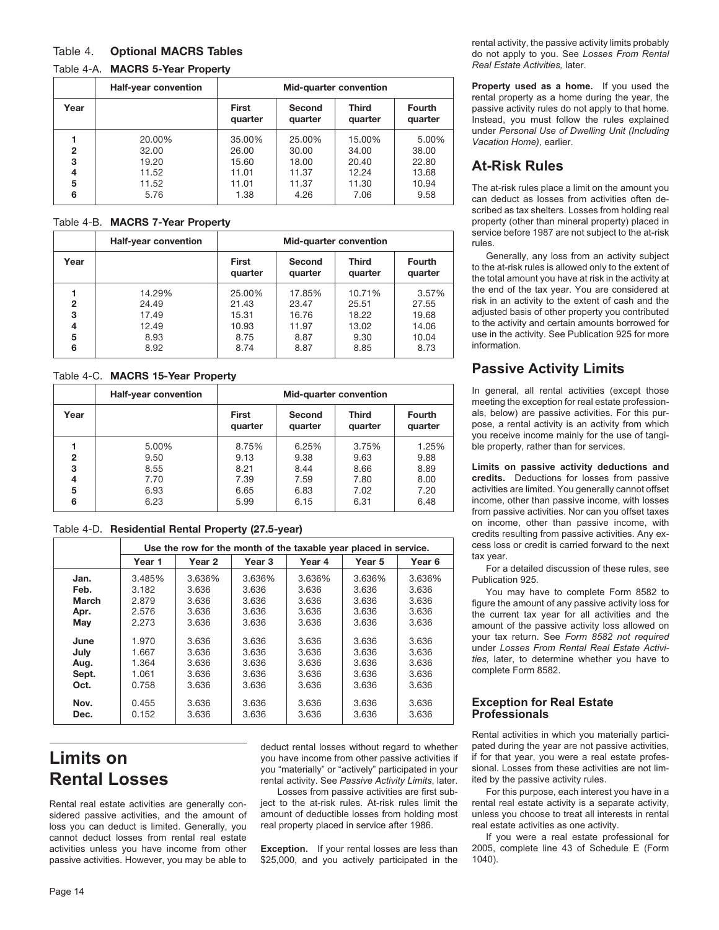## Table 4. **Optional MACRS Tables**

## Table 4-A. **MACRS 5-Year Property**

|                       | <b>Half-year convention</b>                        | <b>Mid-quarter convention</b>                      |                                                    |                                                    |                                                   |
|-----------------------|----------------------------------------------------|----------------------------------------------------|----------------------------------------------------|----------------------------------------------------|---------------------------------------------------|
| Year                  |                                                    | First<br>quarter                                   | Second<br>quarter                                  | <b>Third</b><br>quarter                            | <b>Fourth</b><br>quarter                          |
| 2<br>3<br>4<br>5<br>6 | 20.00%<br>32.00<br>19.20<br>11.52<br>11.52<br>5.76 | 35.00%<br>26.00<br>15.60<br>11.01<br>11.01<br>1.38 | 25.00%<br>30.00<br>18.00<br>11.37<br>11.37<br>4.26 | 15.00%<br>34.00<br>20.40<br>12.24<br>11.30<br>7.06 | 5.00%<br>38.00<br>22.80<br>13.68<br>10.94<br>9.58 |

## Table 4-B. **MACRS 7-Year Property**

|              | <b>Half-year convention</b> | <b>Mid-quarter convention</b> |                   |                  |                          |
|--------------|-----------------------------|-------------------------------|-------------------|------------------|--------------------------|
| Year         |                             | First<br>quarter              | Second<br>quarter | Third<br>quarter | <b>Fourth</b><br>quarter |
|              | 14.29%                      | 25.00%                        | 17.85%            | 10.71%           | 3.57%                    |
| $\mathbf{2}$ | 24.49                       | 21.43                         | 23.47             | 25.51            | 27.55                    |
| 3            | 17.49                       | 15.31                         | 16.76             | 18.22            | 19.68                    |
| 4            | 12.49                       | 10.93                         | 11.97             | 13.02            | 14.06                    |
| 5            | 8.93                        | 8.75                          | 8.87              | 9.30             | 10.04                    |
| 6            | 8.92                        | 8.74                          | 8.87              | 8.85             | 8.73                     |

## Table 4-C. **MACRS 15-Year Property**

|              | <b>Half-year convention</b> | Mid-quarter convention |                   |                         |                          |
|--------------|-----------------------------|------------------------|-------------------|-------------------------|--------------------------|
| Year         |                             | First<br>quarter       | Second<br>quarter | <b>Third</b><br>quarter | <b>Fourth</b><br>quarter |
|              | 5.00%                       | 8.75%                  | 6.25%             | 3.75%                   | 1.25%                    |
| $\mathbf{2}$ | 9.50                        | 9.13                   | 9.38              | 9.63                    | 9.88                     |
| 3            | 8.55                        | 8.21                   | 8.44              | 8.66                    | 8.89                     |
| 4            | 7.70                        | 7.39                   | 7.59              | 7.80                    | 8.00                     |
| 5            | 6.93                        | 6.65                   | 6.83              | 7.02                    | 7.20                     |
| 6            | 6.23                        | 5.99                   | 6.15              | 6.31                    | 6.48                     |

## Table 4-D. **Residential Rental Property (27.5-year)**

|       |        |        | Use the row for the month of the taxable year placed in service. |        |        |        |
|-------|--------|--------|------------------------------------------------------------------|--------|--------|--------|
|       | Year 1 | Year 2 | Year 3                                                           | Year 4 | Year 5 | Year 6 |
| Jan.  | 3.485% | 3.636% | 3.636%                                                           | 3.636% | 3.636% | 3.636% |
| Feb.  | 3.182  | 3.636  | 3.636                                                            | 3.636  | 3.636  | 3.636  |
| March | 2.879  | 3.636  | 3.636                                                            | 3.636  | 3.636  | 3.636  |
| Apr.  | 2.576  | 3.636  | 3.636                                                            | 3.636  | 3.636  | 3.636  |
| May   | 2.273  | 3.636  | 3.636                                                            | 3.636  | 3.636  | 3.636  |
| June  | 1.970  | 3.636  | 3.636                                                            | 3.636  | 3.636  | 3.636  |
| July  | 1.667  | 3.636  | 3.636                                                            | 3.636  | 3.636  | 3.636  |
| Aug.  | 1.364  | 3.636  | 3.636                                                            | 3.636  | 3.636  | 3.636  |
| Sept. | 1.061  | 3.636  | 3.636                                                            | 3.636  | 3.636  | 3.636  |
| Oct.  | 0.758  | 3.636  | 3.636                                                            | 3.636  | 3.636  | 3.636  |
| Nov.  | 0.455  | 3.636  | 3.636                                                            | 3.636  | 3.636  | 3.636  |
| Dec.  | 0.152  | 3.636  | 3.636                                                            | 3.636  | 3.636  | 3.636  |

loss you can deduct is limited. Generally, you cannot deduct losses from rental real estate If you were a real estate professional for

**Limits on**<br>you have income from other passive activities if if for that year, you were a real estate profes-<br>you "materially" or "actively" participated in your sional. Losses from these activities are not limyou "materially" or "actively" participated in your sional. Losses from these activities activity<br>rental activity. See Passive Activity Limits later ited by the passive activity rules. **Rental Losses**<br>rental activity. See *Passive Activity Limits*, later.<br>Losses from passive activities are first sub-

Rental real estate activities are generally con- ject to the at-risk rules. At-risk rules limit the rental real estate activity is a separate activity,<br>sidered passive activities, and the amount of amount of deductible los sidered passive activities, and the amount of amount of deductible losses from holding most unless you choose to treat all intere<br>Ioss you can deduct is limited. Generally, you real property placed in service after 1986.

activities unless you have income from other **Exception.** If your rental losses are less than 2005, complete line 43 of Schedule E (Form passive activities. However, you may be able to \$25,000, and you actively participated in the 1040).

rental activity, the passive activity limits probably do not apply to you. See *Losses From Rental Real Estate Activities,* later.

**Property used as a home.** If you used the rental property as a home during the year, the passive activity rules do not apply to that home. Instead, you must follow the rules explained under *Personal Use of Dwelling Unit (Including Vacation Home),* earlier.

## **At-Risk Rules**

The at-risk rules place a limit on the amount you can deduct as losses from activities often described as tax shelters. Losses from holding real property (other than mineral property) placed in service before 1987 are not subject to the at-risk rules.

Generally, any loss from an activity subject to the at-risk rules is allowed only to the extent of the total amount you have at risk in the activity at the end of the tax year. You are considered at risk in an activity to the extent of cash and the adjusted basis of other property you contributed to the activity and certain amounts borrowed for use in the activity. See Publication 925 for more information.

## **Passive Activity Limits**

In general, all rental activities (except those meeting the exception for real estate professionals, below) are passive activities. For this purpose, a rental activity is an activity from which you receive income mainly for the use of tangible property, rather than for services.

**Limits on passive activity deductions and credits.** Deductions for losses from passive activities are limited. You generally cannot offset income, other than passive income, with losses from passive activities. Nor can you offset taxes on income, other than passive income, with credits resulting from passive activities. Any excess loss or credit is carried forward to the next tax year.

For a detailed discussion of these rules, see Publication 925.

You may have to complete Form 8582 to figure the amount of any passive activity loss for the current tax year for all activities and the amount of the passive activity loss allowed on your tax return. See *Form 8582 not required* under *Losses From Rental Real Estate Activities,* later, to determine whether you have to complete Form 8582.

## **Exception for Real Estate Professionals**

Rental activities in which you materially particideduct rental losses without regard to whether pated during the year are not passive activities,

For this purpose, each interest you have in a rental real estate activity is a separate activity.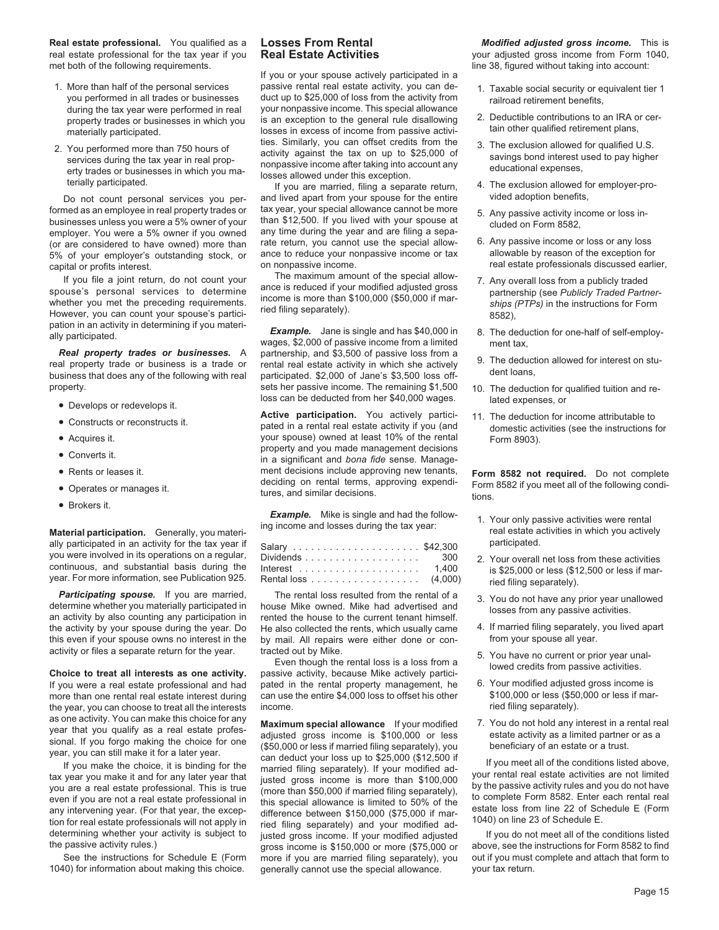- 
- 

formed as an employee in real property trades or tax year, your special allowance cannot be more<br>businesses unless you were a 5% owner of your than \$12,500. If you lived with your spouse at cluded on Form 8582,<br>employer. employer. You were a 5% owner if you owned any time during the year and are filing a sepa-<br>(or are considered to have owned) more than rate return, you cannot use the special allowrate return, you cannot use the special allow-<br>
for are considered to have owned) more than rate return, you cannot use the special allow-<br>
5% of your employer's outstanding stock, or ance to reduce your nonpassive income 5% of your employer's outstanding stock, or ance to reduce your no<br>capital or profits interest outstanding stock, or on nonpassive income. capital or profits interest. The nonpassive income.<br>
The maximum amount of the special allow-<br>
Capital or profits interest.<br>
The maximum amount of the special allow-<br>
The maximum amount of the special allow-<br>
The maximum a

If you file a joint return, do not count your<br>spouse's personal services to determine<br>whether you met the preceding requirements.<br>However, you can count your spouse's partici-<br>However, you can count your spouse's partici-<br>

real property trades or businesses. A partiel sinp, and \$5,000 or passive loss from a<br>real property trade or business is a trade or rental real estate activity in which she actively<br>business that does any of the following

- 
- 
- 
- 
- 
- 
- 

ally participated in an activity for the tax year if you were involved in its operations on a regular,

**Participating spouse.** If you are married, The rental loss resulted from the rental of a<br>determine whether you materially participated in house Mike owned. Mike had advertised and<br>an activity by also counting any particip this even if your spouse owns no interest in the by mail. All repairs were either done or con- activity or files a separate return for the year. In tracted out by Mike.

If you were a real estate professional and had pated in the rental property management, he 6. Your modified adjusted gross income is more than one rental real estate interest during can use the entire \$4,000 loss to offset more than one rental real estate interest during can use the entire \$4,000 loss to offset his other the year, you can choose to treat all the interests income. The interests income interests income the separately).

If you or your spouse actively participated in a 1. More than half of the personal services passive rental real estate activity, you can de-<br>1. Taxable social security or equivalent tier 1<br>1. You performed in all trades or businesses duct up to \$25,000 of loss from the a you performed in all trades or businesses duct up to \$25,000 of loss from the activity from railroad retirement benefits,<br>during the tax year were performed in real your nonpassive income. This special allowance example that year in the performance in the same state of the service of the service of the service of the service of the service of the service of the service of the service of the service of the service of the materially materially participated.<br>  $\frac{1}{2}$  losses in excess of income from passive activi-<br>  $\frac{1}{2}$  lies. Similarly, you can offset credits from the 2. You performed more than 750 hours of thes. Similarly, you can offset credits from the 3. The exclusion allowed for qualified U.S.<br>services during the tax year in real prop-<br>erty trades or businesses in which you ma-<br>ter

Do not count personal services you per- and lived apart from your spouse for the entire vided adoption benefits,<br>med as an employee in real property trades or tax year, your special allowance cannot be more

pation in an activity in determining if you materi-<br>ally participated.<br>**Real property trades or businesses.** A partinership, and \$3,500 of passive loss from a property. sets her passive income. The remaining \$1,500 10. The deduction for qualified tuition and re-Ioss can be deducted from her \$40,000 wages. lated expenses, or<br>**Active participation.** You actively partici-<br>Active participation. You actively partici-<br>11 The deduction for i

• Constructs or reconstructs it.<br>
• Constructs or reconstructs it.<br>
• Acquires it based in a rental real estate activity if you (and domestic activities (see the instructions for<br>
• Acquires it based on the spouse) owned a • Acquires it. vour spouse) owned at least 10% of the rental Form 8903).<br>• Converts it. example in a significant and *bona fide* sense. Manage-<br>in a significant and *bona fide* sense. Manage-

| ally participated in an activity for the tax year if Salary \$42,300 |  | participated.                                 |
|----------------------------------------------------------------------|--|-----------------------------------------------|
| you were involved in its operations on a regular,                    |  |                                               |
|                                                                      |  | is \$25,000 or less (\$12,500 or less if mar- |
|                                                                      |  | ried filing separately).                      |

the activity by your spouse during the year. Do He also collected the rents, which usually came 4. If married filing separately, this even if your spouse owns no interest in the by mail. All repairs were either done or con

activity or files a separate return for the year. tracted out by Mike. the rental loss is a loss from a<br>Even though the rental loss is a loss from a<br>Choice to treat all interests as one activity. passive activity, because

as one activity. You can make this choice for any<br>year that you qualify as a real estate professional if you for making the choice for one<br>year, you can still make it for a later preference of the matriced (\$50,000 or less tion for real estate professionals will not apply in ried filing separately) and your modified ad-<br>determining whether your activity is subject to justed gross income. If your modified adjusted If you do not meet all of th gross income is \$150,000 or more (\$75,000 or above, see the instructions for Form 8582 to find<br>more if you are married filing separately), you out if you must complete and attach that form to See the instructions for Schedule E (Form more if you are married filing separately), you out if you must complete and that for the special allowance. That form that form to that form to that form to that form to that form generally cannot use the special allowance.

**Real estate professional.** You qualified as a **Losses From Rental** *Modified adjusted gross income.* This is real estate professional for the tax year if you **Real Estate Activities** your adjusted gross income from Form 1040, met both of the following requirements. line 38, figured without taking into account:

- 
- 
- 
- 
- 
- 
- 
- 
- 
- 
- 

• Rents or leases it. **Example 19 and Section** ment decisions include approving new tenants, **Form 8582 not required.** Do not complete deciding on rental terms, approving expenditions.<br>• Brokers it. **Example 20** and simila

- **Example.** Mike is single and had the follow-<br>
ing income and losses during the tax year:<br>
ally participated in an activity for the tax year if<br>
ally participated.<br>
participated.<br>
participated.
	-
	-
	-
	-
	-
	-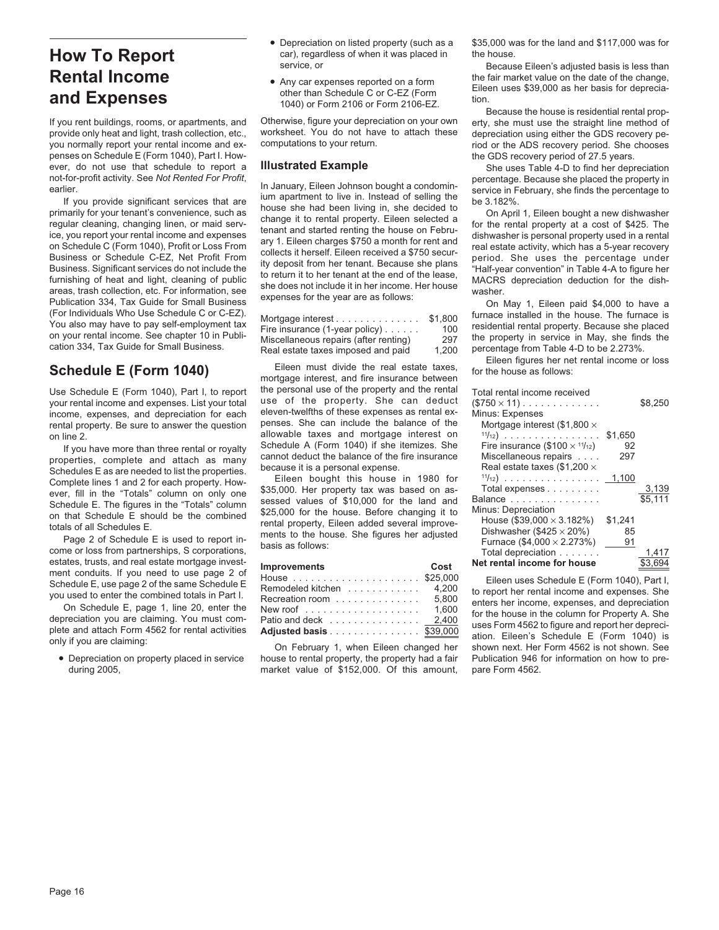penses on Schedule E (Form 1040), Part I. How-<br>ever, do not use that schedule to report a **Illustrated Example** the Shelling Shellings Table 4-D to find her depre ever, do not use that schedule to report a **Illustrated Example** She uses Table 4-D to find her depreciation<br>not-for-profit activity. See Not Rented For Profit,

(For Individuals Who Use Schedule C or C-EZ).<br>The insurance interest enter the state of turnace installed in the house. The furnace is<br>On your rental income. See chapter 10 in Publi-<br>Miscellaneous repairs (after renting) a

brain contracts and Schedules E.<br>
Page 2 of Schedules E.<br>
Page 2 of Schedule E is used to report in-<br>
come or loss from partnerships, S corporations,<br>
estates, trusts, and real estate mortgage invest-

- **How To Report** car), regardless of when it was placed in the house.<br>
Service, or
	-

If you rent buildings, rooms, or apartments, and Otherwise, figure your depreciation on your own erty, she must use the straight line method of provide only heat and light, trash collection, etc., worksheet. You do not hav worksheet. You do not have to attach these depreciation using either the GDS recovery pe-<br>computations to your return.

not-for-profit activity. See *Not Rented For Profit*<br>
if you provide significant services that are<br>
if you provide significant services that are<br>
if you provide significant services that are<br>
if you provide significant ser

| (For individuals vino Use Schedule C or C-EZ).  | Mortgage interest\$1,800                       |                  | furnace installed in the house. The furnace is  |
|-------------------------------------------------|------------------------------------------------|------------------|-------------------------------------------------|
| You also may have to pay self-employment tax    | Fire insurance (1-year policy) $\ldots \ldots$ | 100 <sub>1</sub> | residential rental property. Because she placed |
| on your rental income. See chapter 10 in Publi- | Miscellaneous repairs (after renting)          |                  | the property in service in May, she finds the   |
| cation 334, Tax Guide for Small Business.       | Real estate taxes imposed and paid             | 1.200            | percentage from Table 4-D to be 2.273%.         |
|                                                 |                                                |                  | Eileen figures her net rental income or loss    |

**Schedule E (Form 1040)** Eileen must divide the real estate taxes, for the house as follows: Use Schedule E (Form 1040), Part I, to report the personal use of the property and the rental vour rental income and expenses List your total use of the property. She can deduct allowable taxes and mortgage interest on<br>
If you have more than three rental or royalty Schedule A (Form 1040) if she itemizes. She

| <b>Improvements</b>                                | Cost |
|----------------------------------------------------|------|
|                                                    |      |
| Remodeled kitchen 4,200                            |      |
| Recreation room 5,800                              |      |
|                                                    |      |
| Patio and deck $\ldots \ldots \ldots \ldots$ 2,400 |      |
| <b>Adjusted basis \$39.000</b>                     |      |

market value of \$152,000. Of this amount,

• Depreciation on listed property (such as a \$35,000 was for the land and \$117,000 was for

Because Eileen's adjusted basis is less than<br>the fair market value on the date of the change, **Rental Income**<br> **Any car expenses reported on a form** the fair market value on the date of the change,<br>
the fair market value on the date of the change,<br> **and Expenses**<br> **and Expenses**<br> **and Expenses**<br> **and Expenses**<br> **an** 

you normally report your rental income and ex- computations to your return. The riod or the ADS recovery period. She chooses

| Use Schedule E (Form 1040), Part I, to report<br>your rental income and expenses. List your total<br>income, expenses, and depreciation for each | the personal use of the property and the rental<br>use of the property. She can deduct<br>eleven-twelfths of these expenses as rental ex- |                  | Total rental income received<br>$($750 \times 11)$<br>Minus: Expenses |         | \$8,250 |
|--------------------------------------------------------------------------------------------------------------------------------------------------|-------------------------------------------------------------------------------------------------------------------------------------------|------------------|-----------------------------------------------------------------------|---------|---------|
| rental property. Be sure to answer the question                                                                                                  | penses. She can include the balance of the                                                                                                |                  | Mortgage interest (\$1,800 $\times$                                   |         |         |
| on line 2.                                                                                                                                       | allowable taxes and mortgage interest on                                                                                                  |                  | $11/12$ ) \$1,650                                                     |         |         |
| If you have more than three rental or royalty                                                                                                    | Schedule A (Form 1040) if she itemizes. She                                                                                               |                  | Fire insurance $(\$100 \times 11_{12})$                               | 92      |         |
| properties, complete and attach as many                                                                                                          | cannot deduct the balance of the fire insurance                                                                                           |                  | Miscellaneous repairs                                                 | 297     |         |
| Schedules E as are needed to list the properties.                                                                                                | because it is a personal expense.                                                                                                         |                  | Real estate taxes (\$1,200 $\times$                                   |         |         |
| Complete lines 1 and 2 for each property. How-                                                                                                   | Eileen bought this house in 1980 for                                                                                                      |                  | $\frac{11}{12}$ 1,100                                                 |         |         |
| ever, fill in the "Totals" column on only one                                                                                                    | \$35,000. Her property tax was based on as-                                                                                               |                  | Total expenses                                                        |         | 3,139   |
| Schedule E. The figures in the "Totals" column                                                                                                   | sessed values of \$10,000 for the land and                                                                                                |                  | Balance                                                               |         | \$5.111 |
| on that Schedule E should be the combined                                                                                                        | \$25,000 for the house. Before changing it to                                                                                             |                  | Minus: Depreciation                                                   |         |         |
| totals of all Schedules E.                                                                                                                       | rental property, Eileen added several improve-                                                                                            |                  | House $(\$39,000 \times 3.182\%)$                                     | \$1.241 |         |
|                                                                                                                                                  | ments to the house. She figures her adjusted                                                                                              |                  | Dishwasher (\$425 $\times$ 20%)                                       | 85      |         |
| Page 2 of Schedule E is used to report in-                                                                                                       | basis as follows:                                                                                                                         |                  | Furnace $(\$4,000 \times 2.273%)$                                     | 91      |         |
| come or loss from partnerships, S corporations,                                                                                                  |                                                                                                                                           |                  | Total depreciation                                                    |         | 1,417   |
| estates, trusts, and real estate mortgage invest-                                                                                                | Improvements                                                                                                                              | C <sub>net</sub> | Net rental income for house                                           |         | \$3,694 |

estates, trusts, and real estate mortgage invest-<br>ment conduits. If you need to use page 2 of<br>Schedule E, use page 2 of the same Schedule E<br>you used to enter the combined totals in Part I.<br>On Schedule E, page 1, line 20, e • Depreciation on property placed in service house to rental property, the property had a fair Publication 946 for information on how to pre-<br>during 2005, during 2005,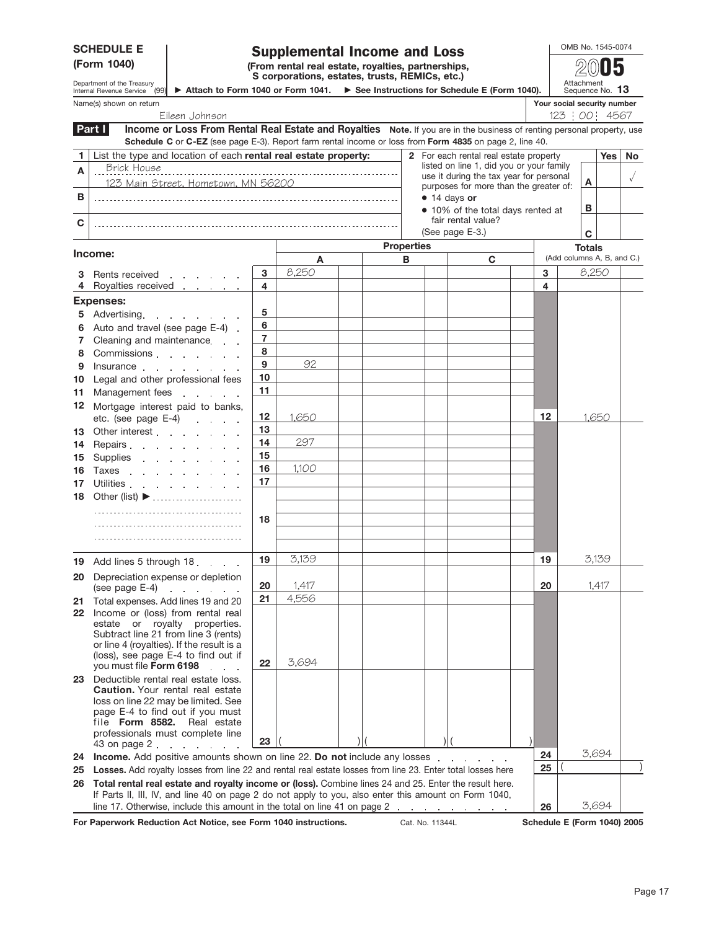Internal Revenue Service (99)

# **SCHEDULE E Supplemental Income and Loss**<br>(Form 1040) (From rental real estate, royalties, partnerships. 6.1545-0074

**(Form 1040) (From rental real estate, royalties, partnerships, S corporations, estates, trusts, REMICs, etc.)**

**2005**

Attach to Form 1040 or Form 1041.  $\triangleright$  See Instructions for Schedule E (Form 1040).

Attachment Sequence No. **13** Name(s) shown on return **Your social security number** 

|    | Eileen Johnson                                                                                                                    |                |       |  |                                                                                                     |                                   |                                        |  |    |  | 123 00 4567                |                  |    |
|----|-----------------------------------------------------------------------------------------------------------------------------------|----------------|-------|--|-----------------------------------------------------------------------------------------------------|-----------------------------------|----------------------------------------|--|----|--|----------------------------|------------------|----|
|    | Part I<br>Income or Loss From Rental Real Estate and Royalties Note. If you are in the business of renting personal property, use |                |       |  |                                                                                                     |                                   |                                        |  |    |  |                            |                  |    |
|    | Schedule C or C-EZ (see page E-3). Report farm rental income or loss from Form 4835 on page 2, line 40.                           |                |       |  |                                                                                                     |                                   |                                        |  |    |  |                            |                  |    |
| 1. | List the type and location of each rental real estate property:                                                                   |                |       |  |                                                                                                     |                                   | 2 For each rental real estate property |  |    |  |                            | Yes <sub>1</sub> | No |
| A  | Brick House                                                                                                                       |                |       |  | listed on line 1, did you or your family                                                            |                                   |                                        |  |    |  |                            |                  |    |
|    | 123 Main Street, Hometown, MN 56200                                                                                               |                |       |  | use it during the tax year for personal<br>$\sqrt{}$<br>Α<br>purposes for more than the greater of: |                                   |                                        |  |    |  |                            |                  |    |
| В  |                                                                                                                                   |                |       |  |                                                                                                     | $\bullet$ 14 days or              |                                        |  |    |  |                            |                  |    |
|    |                                                                                                                                   |                |       |  |                                                                                                     | • 10% of the total days rented at |                                        |  |    |  |                            |                  |    |
| С  |                                                                                                                                   |                |       |  |                                                                                                     |                                   | fair rental value?                     |  |    |  |                            |                  |    |
|    |                                                                                                                                   |                |       |  |                                                                                                     | (See page E-3.)                   |                                        |  |    |  | С                          |                  |    |
|    |                                                                                                                                   |                |       |  | <b>Properties</b>                                                                                   |                                   |                                        |  |    |  | <b>Totals</b>              |                  |    |
|    | Income:                                                                                                                           |                | A     |  | в                                                                                                   |                                   | C                                      |  |    |  | (Add columns A, B, and C.) |                  |    |
|    | <b>3</b> Rents received<br>and the company of the                                                                                 | 3              | 8,250 |  |                                                                                                     |                                   |                                        |  | 3  |  | 8,250                      |                  |    |
| 4  | Royalties received                                                                                                                | 4              |       |  |                                                                                                     |                                   |                                        |  | 4  |  |                            |                  |    |
|    | <b>Expenses:</b>                                                                                                                  |                |       |  |                                                                                                     |                                   |                                        |  |    |  |                            |                  |    |
|    | 5 Advertising.                                                                                                                    | 5              |       |  |                                                                                                     |                                   |                                        |  |    |  |                            |                  |    |
|    | 6 Auto and travel (see page E-4).                                                                                                 | 6              |       |  |                                                                                                     |                                   |                                        |  |    |  |                            |                  |    |
| 7  | Cleaning and maintenance                                                                                                          | $\overline{7}$ |       |  |                                                                                                     |                                   |                                        |  |    |  |                            |                  |    |
| 8. | Commissions                                                                                                                       | 8              |       |  |                                                                                                     |                                   |                                        |  |    |  |                            |                  |    |
| 9  | Insurance                                                                                                                         | 9              | 92    |  |                                                                                                     |                                   |                                        |  |    |  |                            |                  |    |
|    | 10 Legal and other professional fees                                                                                              | 10             |       |  |                                                                                                     |                                   |                                        |  |    |  |                            |                  |    |
|    | 11 Management fees                                                                                                                | 11             |       |  |                                                                                                     |                                   |                                        |  |    |  |                            |                  |    |
|    | 12 Mortgage interest paid to banks,                                                                                               |                |       |  |                                                                                                     |                                   |                                        |  |    |  |                            |                  |    |
|    | etc. (see page $E-4$ )                                                                                                            | 12             | 1,650 |  |                                                                                                     |                                   |                                        |  | 12 |  | 1,650                      |                  |    |
|    | 13 Other interest                                                                                                                 | 13             |       |  |                                                                                                     |                                   |                                        |  |    |  |                            |                  |    |
|    | 14 Repairs                                                                                                                        | 14             | 297   |  |                                                                                                     |                                   |                                        |  |    |  |                            |                  |    |
|    | 15 Supplies                                                                                                                       | 15             |       |  |                                                                                                     |                                   |                                        |  |    |  |                            |                  |    |
| 16 | Taxes                                                                                                                             | 16             | 1,100 |  |                                                                                                     |                                   |                                        |  |    |  |                            |                  |    |
|    | 17 Utilities                                                                                                                      | 17             |       |  |                                                                                                     |                                   |                                        |  |    |  |                            |                  |    |
|    | <b>18</b> Other (list) ▶                                                                                                          |                |       |  |                                                                                                     |                                   |                                        |  |    |  |                            |                  |    |
|    |                                                                                                                                   |                |       |  |                                                                                                     |                                   |                                        |  |    |  |                            |                  |    |
|    |                                                                                                                                   | 18             |       |  |                                                                                                     |                                   |                                        |  |    |  |                            |                  |    |
|    |                                                                                                                                   |                |       |  |                                                                                                     |                                   |                                        |  |    |  |                            |                  |    |
|    |                                                                                                                                   |                |       |  |                                                                                                     |                                   |                                        |  |    |  |                            |                  |    |
|    | 19 Add lines 5 through 18.                                                                                                        | 19             | 3,139 |  |                                                                                                     |                                   |                                        |  | 19 |  | 3,139                      |                  |    |
|    |                                                                                                                                   |                |       |  |                                                                                                     |                                   |                                        |  |    |  |                            |                  |    |
|    | 20 Depreciation expense or depletion<br>(see page $E-4$ )                                                                         | 20             | 1,417 |  |                                                                                                     |                                   |                                        |  | 20 |  | 1,417                      |                  |    |
|    | 21 Total expenses. Add lines 19 and 20                                                                                            | 21             | 4,556 |  |                                                                                                     |                                   |                                        |  |    |  |                            |                  |    |
|    | 22 Income or (loss) from rental real                                                                                              |                |       |  |                                                                                                     |                                   |                                        |  |    |  |                            |                  |    |
|    | estate or royalty properties.                                                                                                     |                |       |  |                                                                                                     |                                   |                                        |  |    |  |                            |                  |    |
|    | Subtract line 21 from line 3 (rents)                                                                                              |                |       |  |                                                                                                     |                                   |                                        |  |    |  |                            |                  |    |
|    | or line 4 (royalties). If the result is a<br>(loss), see page E-4 to find out if                                                  |                |       |  |                                                                                                     |                                   |                                        |  |    |  |                            |                  |    |
|    | you must file Form 6198                                                                                                           | 22             | 3,694 |  |                                                                                                     |                                   |                                        |  |    |  |                            |                  |    |
| 23 | Deductible rental real estate loss.                                                                                               |                |       |  |                                                                                                     |                                   |                                        |  |    |  |                            |                  |    |
|    | <b>Caution.</b> Your rental real estate                                                                                           |                |       |  |                                                                                                     |                                   |                                        |  |    |  |                            |                  |    |
|    | loss on line 22 may be limited. See                                                                                               |                |       |  |                                                                                                     |                                   |                                        |  |    |  |                            |                  |    |
|    | page E-4 to find out if you must                                                                                                  |                |       |  |                                                                                                     |                                   |                                        |  |    |  |                            |                  |    |
|    | file Form 8582. Real estate<br>professionals must complete line                                                                   |                |       |  |                                                                                                     |                                   |                                        |  |    |  |                            |                  |    |
|    | 43 on page 2.<br>and the company of                                                                                               | 23             |       |  |                                                                                                     |                                   |                                        |  |    |  |                            |                  |    |
|    | 24 Income. Add positive amounts shown on line 22. Do not include any losses                                                       |                |       |  |                                                                                                     |                                   |                                        |  | 24 |  | 3,694                      |                  |    |
| 25 | Losses. Add royalty losses from line 22 and rental real estate losses from line 23. Enter total losses here                       |                |       |  |                                                                                                     |                                   |                                        |  | 25 |  |                            |                  |    |
|    | 26 Total rental real estate and royalty income or (loss). Combine lines 24 and 25. Enter the result here.                         |                |       |  |                                                                                                     |                                   |                                        |  |    |  |                            |                  |    |
|    | If Parts II, III, IV, and line 40 on page 2 do not apply to you, also enter this amount on Form 1040,                             |                |       |  |                                                                                                     |                                   |                                        |  |    |  |                            |                  |    |

line 17. Otherwise, include this amount in the total on line 41 on page 2 **26**

**For Paperwork Reduction Act Notice, see Form 1040 instructions.** Cat. No. 11344L **Schedule E (Form 1040) 2005**

3,694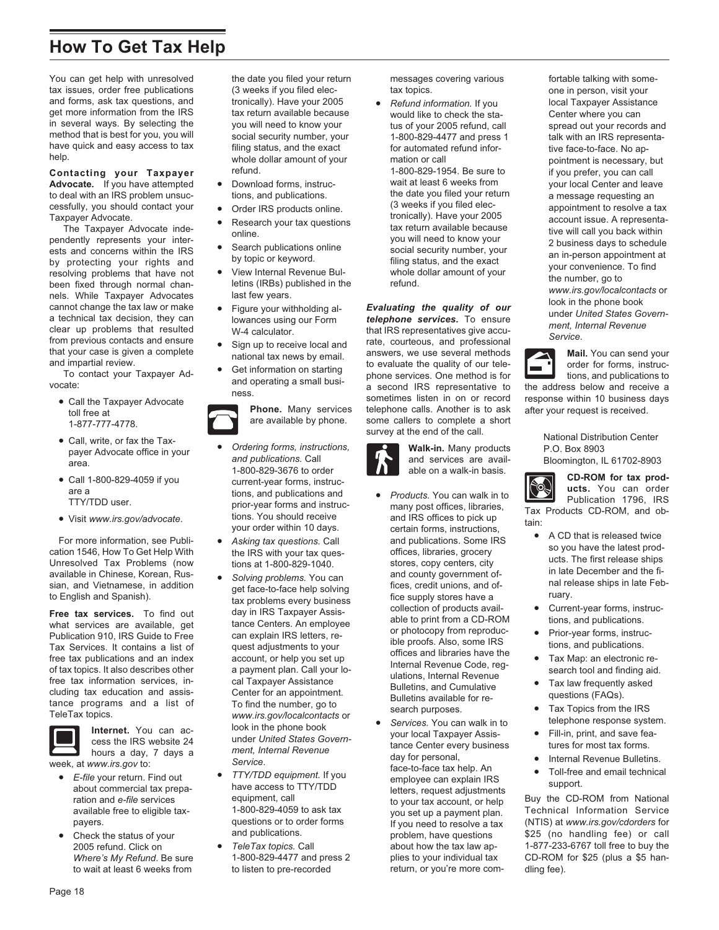# **How To Get Tax Help**

You can get help with unresolved the date you filed your return messages covering various fortable talking with some-<br>
tax issues, order free publications (3 weeks if you filed elec-<br>
ax topics. tax issues, order free publications (3 weeks if you filed elec- tax topics. one in person, visit your and forms, ask tax questions, and tronically). Have your 2005 • *Refund information*. If you local Taxpayer Assistance get more information from the IRS tax return available because would like to check the sta- Center wher in several ways. By selecting the you will need to know your tus of your 2005 refund, call spread out your records and method that is best for you, you will social security number, your 1-800-829-4477 and press 1 talk with

**Contacting your Taxpayer** refund. In the state of the total of the test of the sure to if you prefer, you can call<br>Advocate. If you have attempted **•** Download forms, instruc- wait at least 6 weeks from in the your local Advocate. If you have attempted <br>to deal with an IRS problem unsuc-<br>tions, and publications. The date you filed your return to deal with an IRS problem unsuc-<br>
cessfully you should contact your and publications. (3 weeks if you filed elec-<br>
(3 weeks if you filed elec-<br>
annointment to resolve a t cessfully, you should contact your (3 weeks if you filed elec- • Order IRS products online. appointment to resolve a tax

mediative persons with the IRS of the search publications online that the search publications online the social security number, your<br>
by protecting your rights and<br>
the social security number, your<br>
by protecting your rig

- 
- 
- 
- 

what services are available, get tance Centers. An employee and the publication 910, IRS Guide to Free can explain IRS letters, re-<br>
Tax Services. It contains a list of quest adjustments to your inferior or photocopy from



- 
- 

- 
- 
- 
- 
- 
- 
- 
- 



- payer Advocate office in your<br>and publications. Call and services are avail-<br>1-800-829-3676 to order and services are avail-<br>able on a walk-in basis.
	-
- Tax Services. It contains a list of the tax policiations and an index<br>
Tax Services. It contains a list of quest adjustments to your<br>
free tax information services of the and index<br>
internal Revenue Code, reg-<br>
The tax inf
	-
	-

tax return available because would like to check the sta-<br>vou will need to know your tus of your 2005 refund, call method that is best for you, you will social security number, your 1-800-829-4477 and press 1 talk with an IRS representa-<br>have quick and easy access to tax filing status, and the exact for automated refund infor- tive fac Taxpayer Advocate. **Taxpayer Advocate.** tronically). Have your 2005 account issue. A representa-<br>The Taxpayer Advocate inde- online. The Taxpayer Advocate inde- online. the Taxpayer Advocate inde-<br>A coul will peed to know

are available by phone. some callers to complete a short 1-877-777-4778.





- 
- Call 1-800-829-4059 if you and the current-year forms, instructions and publications and publications and publications and publications and publications and instructions of the products. You can walk in to the products o
- Finding the day of the contract of the state of the state of the state of the state of the state of the state of the state of the state of the state of the state of the state of the state of the state of the state of the s ration and *e-file* services equipment, call Buy the CD-ROM from National available free to eligible tax-<br>available free to eligible tax-<br>available free to eligible tax-<br>available free to eligible tax-<br>available free to el to wait at least 6 weeks from to listen to pre-recorded return, or you're more com- dling fee).

• Call, write, or fax the Tax-<br>
payer Advocate office in your **•** *Ordering forms, instructions,* **Walk-in.** Many products P.O. Box 8903 **payer Advocate office in your** 



- 
- 
- 
- 
- 
- 
- 
- 
- 

available free to eligible tax- 1-800-829-4059 to ask tax you set up a payment plan. Technical Information Service<br>
payers. The matrice you need to resolve a tax (NTIS) at www.irs.gov/cdorders for questions or to order forms for the payer of the original of the total of the **If** you need to resolve a tax (NTIS) at *www.irs.gov/cdorders* for  $\frac{1}{2}$  and publications. Check the status of your and publications.<br>
2005 refund. Click on ● TeleTax topics. Call about how the tax law ap- 1-877-233-6767 toll free to buy the 1-877-233-6767 toll free to buy the *Where's My Refund*. Be sure 1-800-829-4477 and press 2 plies to your individual tax CD-ROM for \$25 (plus a \$5 han-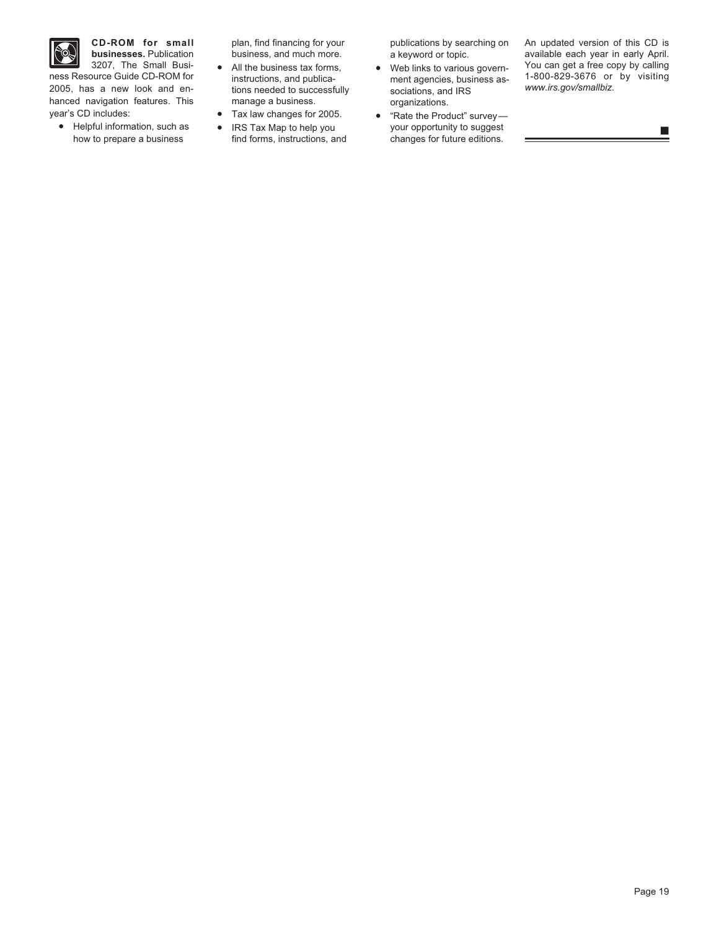

3207, The Small Busi-<br>
and the business tax forms,<br>
instructions, and publica-<br>
2005, has a new look and en-<br>
2005, has a new look and en-<br>
2005, has a new look and en-<br>
2005, has a new look and en-<br>
2005, has a new look a 2005, has a new look and en-<br>
hanced navigation features. This manage a business. This manage a business. hanced navigation features. This year's CD includes:

 $\bullet$  Helpful information, such as

- 
- 
- how to prepare a business find forms, instructions, and changes for future editions.

- 
- Tax law changes for 2005. "Rate the Product" survey—<br>• IRS Tax Map to help you your opportunity to suggest

**CD-ROM for small** plan, find financing for your publications by searching on An updated version of this CD is businesses. Publication business, and much more. a keyword or topic. a vailable each year in early April. **businesses.** Publication business, and much more. a keyword or topic. available each year in early April.<br>3207, The Small Busi- • All the business tax forms. • Web links to various govern- You can get a free copy by calli

■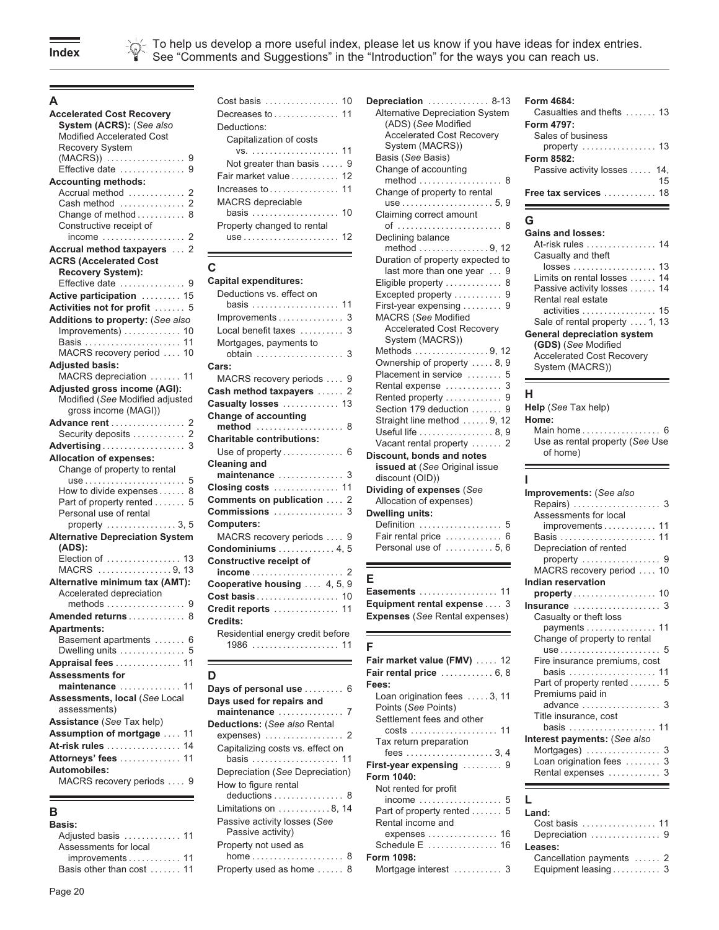



To help us develop a more useful index, please let us know if you have ideas for index entries.<br> **Index** See "Comments and Suggestions" in the "Introduction" for the ways you can reach us.

| <b>Accelerated Cost Recovery</b><br>System (ACRS): (See also |
|--------------------------------------------------------------|
| Modified Accelerated Cost                                    |
| Recovery System                                              |
| $(MACRS))$<br>9                                              |
| 9<br>Effective date                                          |
| <b>Accounting methods:</b>                                   |
| Accrual method<br>2                                          |
| 2<br>Cash method                                             |
| Change of method<br>8                                        |
| Constructive receipt of                                      |
| income<br>2                                                  |
| Accrual method taxpayers<br>2                                |
| <b>ACRS (Accelerated Cost</b>                                |
| Recovery System):                                            |
| Effective date<br>9                                          |
| Active participation  15                                     |
| Activities not for profit  5                                 |
| Additions to property: (See also                             |
| Improvements)  10                                            |
| 11                                                           |
| MACRS recovery period  10                                    |
| <b>Adjusted basis:</b><br>MACRS depreciation  11             |
| Adjusted gross income (AGI):                                 |
| Modified (See Modified adjusted                              |
| gross income (MAGI))                                         |
| Advance rent<br>2<br>Security deposits<br>2                  |
| 3                                                            |
| <b>Allocation of expenses:</b>                               |
| Change of property to rental                                 |
| 5                                                            |
| How to divide expenses 8                                     |
| 5<br>Part of property rented                                 |
| Personal use of rental                                       |
| property  3,5                                                |
| <b>Alternative Depreciation System</b><br>(ADS):             |
| Election of  13                                              |
| MACRS 9, 13                                                  |
| Alternative minimum tax (AMT):                               |
| Accelerated depreciation                                     |
| methods $\ldots$ 9                                           |
| Amended returns  8                                           |
| Apartments: <b>Apartment</b>                                 |
| Basement apartments  6<br>Dwelling units  5                  |
| Appraisal fees  11                                           |
| <b>Assessments for</b>                                       |
| maintenance  11                                              |
| Assessments, local (See Local                                |
| assessments)                                                 |
| Assistance (See Tax help)                                    |
| Assumption of mortgage  11                                   |
|                                                              |
| At-risk rules  14                                            |
| Attorneys' fees  11<br>Automobiles:                          |

| sasıs:                   |  |
|--------------------------|--|
|                          |  |
| Assessments for local    |  |
|                          |  |
| Basis other than cost  1 |  |
|                          |  |

| ccelerated Cost Recovery:<br><b>System (ACRS): (See also</b><br><b>Modified Accelerated Cost</b><br>Recovery System<br>Effective date  9<br>counting methods: | Cost basis  10<br>Decreases to  11<br>Deductions:<br>Capitalization of costs<br>Not greater than basis  9<br>Fair market value  12 | Depreciation<br>Alternative Depreciation<br>(ADS) (See Modified<br><b>Accelerated Cost Reco</b><br>System (MACRS))<br>Basis (See Basis)<br>Change of accounting<br>method $\dots\dots\dots\dots$ |
|---------------------------------------------------------------------------------------------------------------------------------------------------------------|------------------------------------------------------------------------------------------------------------------------------------|--------------------------------------------------------------------------------------------------------------------------------------------------------------------------------------------------|
| Accrual method  2                                                                                                                                             | Increases to $\dots\dots\dots\dots$ 11                                                                                             | Change of property to re                                                                                                                                                                         |
| Cash method $\ldots$ , , ,  2                                                                                                                                 | MACRS depreciable                                                                                                                  | use                                                                                                                                                                                              |
| Change of method $\ldots \ldots \ldots$ 8                                                                                                                     |                                                                                                                                    | Claiming correct amount                                                                                                                                                                          |
| Constructive receipt of                                                                                                                                       | Property changed to rental                                                                                                         |                                                                                                                                                                                                  |
| income $\ldots \ldots \ldots \ldots \ldots$ 2<br>$\sim$ $\sim$ $\sim$ $\sim$ $\sim$                                                                           | use 12                                                                                                                             | Declining balance<br>the contract of the contract of the contract of the contract of the contract of the contract of the contract of                                                             |

۰

| $new = y y$                                                            | <b>Capital expenditures:</b>                         |                                        | Limits on rental losses  14                      |
|------------------------------------------------------------------------|------------------------------------------------------|----------------------------------------|--------------------------------------------------|
| Effective date  9                                                      | Deductions vs. effect on                             | Eligible property  8                   | Passive activity losses  14                      |
| Active participation  15                                               |                                                      | Excepted property $\dots\dots\dots9$   | Rental real estate                               |
| Activities not for profit  5                                           | basis  11                                            | First-year expensing  9                | activities  15                                   |
| Additions to property: (See also                                       |                                                      | <b>MACRS (See Modified</b>             | Sale of rental property  1, 13                   |
| Improvements $), \ldots, \ldots, 10$                                   | Local benefit taxes  3                               | <b>Accelerated Cost Recovery</b>       | <b>General depreciation system</b>               |
| Basis  11                                                              | Mortgages, payments to                               | System (MACRS))                        | (GDS) (See Modified                              |
| MACRS recovery period  10                                              | obtain  3                                            | Methods 9, 12                          | <b>Accelerated Cost Recovery</b>                 |
| Adiusted basis:                                                        | Cars:                                                | Ownership of property  8, 9            | System (MACRS))                                  |
| MACRS depreciation  11                                                 | MACRS recovery periods  9                            | Placement in service  5                |                                                  |
| Adjusted gross income (AGI):                                           | Cash method taxpayers  2                             | Rental expense  3                      | н.                                               |
| Modified (See Modified adjusted                                        | Casualty losses  13                                  |                                        |                                                  |
| gross income (MAGI))                                                   | <b>Change of accounting</b>                          | Section 179 deduction  9               | Help (See Tax help)                              |
| Advance rent $\ldots$ , $\ldots$ , $\ldots$ , 2                        | method $\ldots \ldots \ldots \ldots \ldots \ldots 8$ | Straight line method  9, 12            | Home:                                            |
|                                                                        | <b>Charitable contributions:</b>                     | Useful life 8. 9                       |                                                  |
|                                                                        |                                                      | Vacant rental property  2              | Use as rental property (See Use                  |
| <b>Allocation of expenses:</b>                                         |                                                      | Discount, bonds and notes              | of home)                                         |
| Change of property to rental                                           | <b>Cleaning and</b>                                  | <b>issued at (See Original issue)</b>  |                                                  |
| use 5                                                                  | maintenance  3                                       | discount (OID))                        |                                                  |
| How to divide expenses 8                                               | Closing costs  11                                    | Dividing of expenses (See              | Improvements: (See also                          |
| Part of property rented  5                                             | Comments on publication  2                           | Allocation of expenses)                | Repairs)  3                                      |
| Personal use of rental                                                 |                                                      | <b>Dwelling units:</b>                 | Assessments for local                            |
| property $\dots\dots\dots\dots\dots3, 5$                               | Computers:                                           | Definition  5                          | improvements  11                                 |
| <b>Alternative Depreciation System</b>                                 | MACRS recovery periods  9                            | Fair rental price  6                   | Basis  11                                        |
| (ADS):                                                                 | Condominiums $\ldots$ , $\ldots$ , 4.5               | Personal use of $\dots\dots\dots 5, 6$ | Depreciation of rented                           |
| Election of  13                                                        | <b>Constructive receipt of</b>                       |                                        |                                                  |
| MACRS 9, 13                                                            | $income \ldots \ldots \ldots \ldots \ldots 2$        |                                        | MACRS recovery period  10                        |
| Alternative minimum tax (AMT):                                         | <b>Cooperative housing  4, 5, 9</b>                  | Е                                      | Indian reservation                               |
| Accelerated depreciation                                               | Cost basis 10                                        | <b>Easements</b> 11                    |                                                  |
|                                                                        | Credit reports  11                                   | Equipment rental expense  3            | <b>Insurance</b> 3                               |
| Amended returns 8                                                      | Credits:                                             | <b>Expenses</b> (See Rental expenses)  | Casualty or theft loss                           |
| Apartments:                                                            | Residential energy credit before                     |                                        | payments $\ldots \ldots \ldots \ldots \ldots$ 11 |
|                                                                        |                                                      |                                        |                                                  |
| Basement apartments  6<br>Dwelling units $\dots\dots\dots\dots\dots$ 5 |                                                      | F                                      | Change of property to rental                     |

| maintenance  11<br>ssessments, local (See Local<br>assessments)<br>ssistance (See Tax help)<br>ssumption of mortgage $\dots$ 11<br><b>-risk rules</b> 14<br>$t$ orneys' fees $\ldots \ldots \ldots \ldots 11$<br>utomobiles:<br>MACRS recovery periods  9 | Days of personal use  6<br>Days used for repairs and<br>maintenance<br>Deductions: (See also Rental<br>Capitalizing costs vs. effect on<br>basis  11<br>Depreciation (See Depreciation)<br>How to figure rental<br>deductions $\ldots \ldots \ldots \ldots$ 8 | Fees:<br>Loan origination fees 3, 11<br>Points (See Points)<br>Settlement fees and other<br>Tax return preparation<br>First-year expensing  9<br>Form 1040:<br>Not rented for profit | Part of property rented  5<br>Premiums paid in<br>advance $\ldots$ , $\ldots$ , $\ldots$ , $\ldots$<br>Title insurance, cost<br>basis  11<br>Interest payments: (See also<br>Mortgages)  3<br>Loan origination fees  3<br>Rental expenses  3 |
|-----------------------------------------------------------------------------------------------------------------------------------------------------------------------------------------------------------------------------------------------------------|---------------------------------------------------------------------------------------------------------------------------------------------------------------------------------------------------------------------------------------------------------------|--------------------------------------------------------------------------------------------------------------------------------------------------------------------------------------|----------------------------------------------------------------------------------------------------------------------------------------------------------------------------------------------------------------------------------------------|
| isis:<br>Adjusted basis  11<br>Assessments for local<br>Basis other than cost  11                                                                                                                                                                         | Limitations on $\dots\dots\dots 8$ , 14<br>Passive activity losses (See<br>Passive activity)<br>Property not used as<br>Property used as home  8                                                                                                              | Part of property rented  5<br>Rental income and<br>expenses $\dots\dots\dots\dots\dots$ 16<br>Schedule E  16<br>Form 1098:<br>Mortgage interest  3                                   | Land:<br>Cost basis  11<br>Depreciation  9<br>Leases:<br>Cancellation payments  2<br>Equipment leasing 3                                                                                                                                     |

| А                                                                                                                                                                                                                                  | Cost basis  10                                                                                                                                                                                                                 | Depreciation  8-13                                                                                                                                                                                                                        | Form 4684:                                                                                                                                                                                 |
|------------------------------------------------------------------------------------------------------------------------------------------------------------------------------------------------------------------------------------|--------------------------------------------------------------------------------------------------------------------------------------------------------------------------------------------------------------------------------|-------------------------------------------------------------------------------------------------------------------------------------------------------------------------------------------------------------------------------------------|--------------------------------------------------------------------------------------------------------------------------------------------------------------------------------------------|
| <b>Accelerated Cost Recovery</b><br>System (ACRS): (See also<br><b>Modified Accelerated Cost</b><br><b>Recovery System</b><br>Effective date  9<br><b>Accounting methods:</b><br>Accrual method  2                                 | Decreases to  11<br>Deductions:<br>Capitalization of costs<br>VS.  11<br>Not greater than basis  9<br>Fair market value  12<br><b>MACRS</b> depreciable                                                                        | Alternative Depreciation System<br>(ADS) (See Modified<br><b>Accelerated Cost Recovery</b><br>System (MACRS))<br>Basis (See Basis)<br>Change of accounting<br>method  8<br>Change of property to rental                                   | Casualties and thefts  13<br>Form 4797:<br>Sales of business<br>property  13<br>Form 8582:<br>Passive activity losses  14,<br>15<br>Free tax services  18                                  |
| Change of method 8<br>Constructive receipt of<br>income  2                                                                                                                                                                         | basis  10<br>Property changed to rental<br>use 12                                                                                                                                                                              | Claiming correct amount<br>Declining balance                                                                                                                                                                                              | G<br><b>Gains and losses:</b>                                                                                                                                                              |
| Accrual method taxpayers  2                                                                                                                                                                                                        |                                                                                                                                                                                                                                | method $\ldots \ldots \ldots \ldots 9$ , 12                                                                                                                                                                                               | At-risk rules  14<br>Casualty and theft                                                                                                                                                    |
| <b>ACRS (Accelerated Cost</b><br><b>Recovery System):</b>                                                                                                                                                                          | C                                                                                                                                                                                                                              | Duration of property expected to<br>last more than one year  9                                                                                                                                                                            | losses  13<br>Limits on rental losses  14                                                                                                                                                  |
| Effective date  9                                                                                                                                                                                                                  | <b>Capital expenditures:</b>                                                                                                                                                                                                   | Eligible property  8                                                                                                                                                                                                                      | Passive activity losses  14                                                                                                                                                                |
| Active participation  15<br>Activities not for profit  5<br>Additions to property: (See also<br>Basis  11<br>MACRS recovery period  10<br><b>Adjusted basis:</b><br>MACRS depreciation  11                                         | Deductions vs. effect on<br>basis  11<br>Local benefit taxes  3<br>Mortgages, payments to<br>obtain  3<br>Cars:                                                                                                                | Excepted property  9<br>First-year expensing  9<br><b>MACRS (See Modified</b><br><b>Accelerated Cost Recovery</b><br>System (MACRS))<br>Methods $\dots\dots\dots\dots\dots9,12$<br>Ownership of property  8, 9<br>Placement in service  5 | Rental real estate<br>activities  15<br>Sale of rental property  1, 13<br><b>General depreciation system</b><br>(GDS) (See Modified<br><b>Accelerated Cost Recovery</b><br>System (MACRS)) |
| Adjusted gross income (AGI):<br>Modified (See Modified adjusted<br>gross income (MAGI))<br>Advance rent  2<br>Security deposits  2<br>Advertising 3<br><b>Allocation of expenses:</b>                                              | MACRS recovery periods  9<br>Cash method taxpayers  2<br>Casualty losses  13<br><b>Change of accounting</b><br>method $\ldots \ldots \ldots \ldots \ldots \ldots 8$<br><b>Charitable contributions:</b><br><b>Cleaning and</b> | Rental expense  3<br>Rented property  9<br>Section 179 deduction  9<br>Straight line method  9, 12<br>Useful life 8, 9<br>Vacant rental property  2<br>Discount, bonds and notes                                                          | H.<br>Help (See Tax help)<br>Home:<br>Main home 6<br>Use as rental property (See Use<br>of home)                                                                                           |
| Change of property to rental<br>How to divide expenses<br>Part of property rented  5<br>Personal use of rental<br>property  3, 5<br><b>Alternative Depreciation System</b><br>(ADS):<br>Election of $\dots\dots\dots\dots\dots$ 13 | maintenance  3<br>Closing costs  11<br>Comments on publication  2<br><b>Computers:</b><br>MACRS recovery periods  9<br>Condominiums $\ldots$ , $\ldots$ , 4.5<br><b>Constructive receipt of</b>                                | issued at (See Original issue<br>discount (OID))<br>Dividing of expenses (See<br>Allocation of expenses)<br>Dwelling units:<br>Definition  5<br>Fair rental price  6<br>Personal use of  5, 6                                             | Improvements: (See also<br>Repairs)  3<br>Assessments for local<br>improvements  11<br>Basis  11<br>Depreciation of rented<br>property  9                                                  |
| MACRS<br>Q 13                                                                                                                                                                                                                      |                                                                                                                                                                                                                                |                                                                                                                                                                                                                                           | MACRS recovery period 10                                                                                                                                                                   |

| Easements 11                       |  |
|------------------------------------|--|
| Equipment rental expense $\dots$ 3 |  |
| Expenses (See Rental expenses)     |  |

| Appraisal fees 11                |                                            | Fair market value (FMV)  12                  | Fire insurance premiums, cost                       |
|----------------------------------|--------------------------------------------|----------------------------------------------|-----------------------------------------------------|
| Assessments for                  |                                            | Fair rental price $\dots\dots\dots\dots$ 6.8 | basis  11                                           |
| maintenance  11                  | Days of personal use  6                    | Fees:                                        | Part of property rented  5                          |
| Assessments, local (See Local    | Days used for repairs and                  | Loan origination fees 3, 11                  | Premiums paid in                                    |
| assessments)                     | maintenance                                | Points (See Points)                          | advance $\ldots$ , $\ldots$ , $\ldots$ , $\ldots$ 3 |
| <b>Assistance</b> (See Tax help) | Deductions: (See also Rental               | Settlement fees and other                    | Title insurance, cost                               |
| Assumption of mortgage  11       |                                            |                                              | basis  11                                           |
| At-risk rules 14                 | Capitalizing costs vs. effect on           | Tax return preparation                       | Interest payments: (See also                        |
| Attorneys' fees  11              | basis  11                                  |                                              | Loan origination fees  3                            |
| Automobiles:                     | Depreciation (See Depreciation)            | First-year expensing  9                      | Rental expenses  3                                  |
| MACRS recovery periods  9        | How to figure rental                       | Form 1040:                                   |                                                     |
|                                  | deductions $\ldots \ldots \ldots \ldots$ 8 | Not rented for profit                        |                                                     |
|                                  | Limitations on $\dots\dots\dots 8$ , 14    |                                              |                                                     |
| В                                |                                            | Part of property rented  5 Land:             |                                                     |
| <b>Basis:</b>                    | Passive activity losses (See               | Rental income and                            |                                                     |
| Adjusted basis  11               | Passive activity)                          | expenses $\dots\dots\dots\dots\dots$ 16      | Depreciation  9                                     |
| Assessments for local            | Property not used as                       | Schedule E  16                               | Leases:                                             |
|                                  |                                            | Form 1098:                                   | Cancellation payments  2                            |
| Basis other than cost  11        | Property used as home  8                   | Mortgage interest  3                         | Equipment leasing 3                                 |

| Form 4684:                                |  |
|-------------------------------------------|--|
| Casualties and thefts  13                 |  |
| Form 4797:                                |  |
| Sales of business                         |  |
| property $\ldots \ldots \ldots \ldots$ 13 |  |
| Form 8582:                                |  |
| Passive activity losses  14,              |  |
| 15                                        |  |
| Free tax services  18                     |  |

| <b>Gains and losses:</b><br>At-risk rules  14                                                                    |  |
|------------------------------------------------------------------------------------------------------------------|--|
| Casualty and theft<br>Limits on rental losses  14<br>Passive activity losses  14<br>Rental real estate           |  |
| activities 15<br>Sale of rental property  1, 13                                                                  |  |
| <b>General depreciation system</b><br>(GDS) (See Modified<br><b>Accelerated Cost Recovery</b><br>System (MACRS)) |  |
|                                                                                                                  |  |

| How to divide expenses 8<br>Part of property rented $\ldots$ 5<br>Personal use of rental<br>property $\dots\dots\dots\dots\dots3, 5$<br>ternative Depreciation System<br>(ADS):<br>Election of  13                                                         | Comments on publication  2<br><b>Computers:</b><br>MACRS recovery periods  9<br>Condominiums $\ldots$ , 4, 5<br><b>Constructive receipt of</b>                                                          | Dividing of expenses (See<br>Allocation of expenses)<br><b>Dwelling units:</b><br>Definition  5<br>Fair rental price  6<br>Personal use of $\dots\dots\dots 5, 6$                                   | Improvements: (See also<br>Repairs)  3<br>Assessments for local<br>improvements 11<br>Basis  11<br>Depreciation of rented<br>property $\ldots \ldots \ldots \ldots \ldots$ . 9                               |
|------------------------------------------------------------------------------------------------------------------------------------------------------------------------------------------------------------------------------------------------------------|---------------------------------------------------------------------------------------------------------------------------------------------------------------------------------------------------------|-----------------------------------------------------------------------------------------------------------------------------------------------------------------------------------------------------|--------------------------------------------------------------------------------------------------------------------------------------------------------------------------------------------------------------|
| MACRS 9, 13<br>ternative minimum tax (AMT):                                                                                                                                                                                                                | $income \ldots \ldots \ldots \ldots \ldots \ldots 2$                                                                                                                                                    |                                                                                                                                                                                                     | MACRS recovery period  10<br>Indian reservation                                                                                                                                                              |
| Accelerated depreciation<br>methods $\dots\dots\dots\dots\dots\dots9$<br><b>nended returns</b> 8                                                                                                                                                           | Cooperative housing  4, 5, 9<br>Credit reports  11<br>Credits:                                                                                                                                          | <b>Easements</b> 11<br>Equipment rental expense  3<br><b>Expenses</b> (See Rental expenses)                                                                                                         | $property \ldots \ldots \ldots \ldots \ldots \ldots 10$<br>Insurance $\ldots \ldots \ldots \ldots \ldots$ 3<br>Casualty or theft loss                                                                        |
| partments:<br>Basement apartments  6<br>Dwelling units  5<br><b>ppraisal fees</b> 11                                                                                                                                                                       | Residential energy credit before                                                                                                                                                                        | F<br>Fair market value (FMV)  12                                                                                                                                                                    | payments $\ldots \ldots \ldots \ldots \ldots$ 11<br>Change of property to rental<br>use 5<br>Fire insurance premiums, cost                                                                                   |
| ssessments for<br>maintenance 11<br>s <b>sessments, local</b> ( <i>See</i> Local<br>assessments)<br>s <b>sistance</b> ( <i>See</i> Tax help)<br>ssumption of mortgage  11<br>risk rules 14<br>torneys' fees 11<br>utomobiles:<br>MACRS recovery periods  9 | Days of personal use  6<br>Days used for repairs and<br><b>Deductions: (See also Rental</b><br>Capitalizing costs vs. effect on<br>basis  11<br>Depreciation (See Depreciation)<br>How to figure rental | Fair rental price  6, 8<br>Fees:<br>Loan origination fees 3, 11<br>Points (See Points)<br>Settlement fees and other<br>costs  11<br>Tax return preparation<br>First-year expensing  9<br>Form 1040: | Part of property rented  5<br>Premiums paid in<br>advance  3<br>Title insurance, cost<br>basis  11<br><b>Interest payments:</b> (See also<br>Mortgages)  3<br>Loan origination fees  3<br>Rental expenses  3 |

| Land:                    |  |
|--------------------------|--|
| Cost basis  11           |  |
| Depreciation  9          |  |
| Leases:                  |  |
| Cancellation payments  2 |  |
| Equipment leasing 3      |  |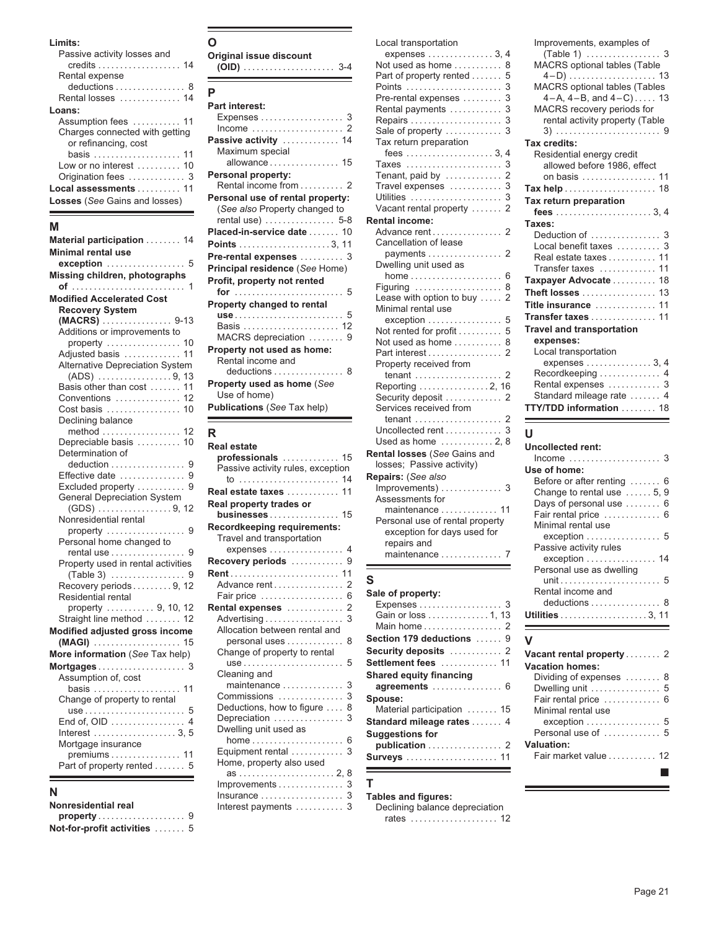| Passive activity losses and          |  |
|--------------------------------------|--|
|                                      |  |
| Rental expense                       |  |
| deductions  8                        |  |
| Rental losses  14                    |  |
| Loans:                               |  |
| Assumption fees  11                  |  |
| Charges connected with getting       |  |
| or refinancing, cost                 |  |
| basis  11                            |  |
| Low or no interest  10               |  |
| Origination fees  3                  |  |
| Local assessments 11                 |  |
| <b>Losses</b> (See Gains and losses) |  |

|                                                | <b>Placed-in-service date</b> 10   | Advance rent Z                  |
|------------------------------------------------|------------------------------------|---------------------------------|
| Material participation  14                     |                                    | Cancellation of lease           |
| <b>Minimal rental use</b>                      | Pre-rental expenses  3             | payments  2                     |
|                                                | Principal residence (See Home)     | Dwelling unit used as           |
| Missing children, photographs                  | Profit, property not rented        | home  6                         |
|                                                |                                    | Figuring  8                     |
| <b>Modified Accelerated Cost</b>               |                                    | Lease with option to buy  2     |
| <b>Recovery System</b>                         | Property changed to rental         | Minimal rental use              |
|                                                |                                    | exception  5                    |
| Additions or improvements to                   | Basis  12                          | Not rented for profit  5        |
| property  10                                   | MACRS depreciation  9              | Not used as home  8             |
| Adjusted basis  11                             | Property not used as home:         | Part interest  2                |
| Alternative Depreciation System                | Rental income and                  | Property received from          |
|                                                | deductions  8                      | tenant  2                       |
| Basis other than cost  11                      | <b>Property used as home (See</b>  | Reporting 2, 16                 |
| Conventions  12                                | Use of home)                       | Security deposit  2             |
| Cost basis  10                                 | <b>Publications (See Tax help)</b> | Services received from          |
| Declining balance                              |                                    | tenant  2                       |
| method $\ldots \ldots \ldots \ldots \ldots$ 12 | R                                  | Uncollected rent  3             |
| Depreciable basis  10                          |                                    | Used as home  2, 8              |
| Determination of                               | <b>Real estate</b>                 | Rental losses (See Gains and    |
| deduction $\ldots \ldots \ldots \ldots$ . 9    | professionals  15                  | losses; Passive activity)       |
| Effective date  9                              | Passive activity rules, exception  | <b>Repairs:</b> (See also       |
| Excluded property  9                           |                                    |                                 |
| <b>General Depreciation System</b>             | Real estate taxes  11              | Assessments for                 |
| $(GDS)$ 9, 12                                  | Real property trades or            | maintenance  11                 |
| Nonresidential rental                          | businesses 15                      | Personal use of rental property |
| property  9                                    | <b>Recordkeeping requirements:</b> | exception for days used for     |
| Personal home changed to                       | Travel and transportation          | repairs and                     |
| rental use  9                                  | expenses  4                        | maintenance  7                  |
| Property used in rental activities             | Recovery periods  9                |                                 |
|                                                |                                    |                                 |
| Recovery periods 9, 12                         | Advance rent 2                     | S                               |
| Residential rental                             | Fair price  6                      | Sale of property:               |
| property  9, 10, 12                            | Rental expenses  2                 | Expenses  3                     |
| Straight line method  12                       |                                    | Gain or loss  1, 13             |
| Modified adjusted gross income                 | Allocation between rental and      | Main home 2                     |
|                                                | personal uses  8                   | Section 179 deductions  9       |
|                                                | Change of property to rental       | Security deposits  2            |
| More information (See Tax help)                | use 5                              | Settlement fees  11             |
|                                                | Cleaning and                       | <b>Shared equity financing</b>  |
| Assumption of, cost                            | maintenance  3                     | agreements  6                   |
| basis  11                                      | Commissions  3                     |                                 |
| Change of property to rental                   | Deductions, how to figure  8       | Spouse:                         |
|                                                | Depreciation  3                    | Material participation  15      |
| End of, OID $\dots\dots\dots\dots\dots$ .      | Dwelling unit used as              | Standard mileage rates  4       |
|                                                |                                    | <b>Suggestions for</b>          |
| Mortgage insurance                             | home 6                             | publication  2                  |
| premiums 11                                    | Equipment rental  3                | Surveys  11                     |
| Part of property rented  5                     | Home, property also used           |                                 |
|                                                |                                    |                                 |

|  | Nonresidential rea |  |  |  |  |
|--|--------------------|--|--|--|--|
|--|--------------------|--|--|--|--|

| $\mathsf{property} \dots \dots \dots \dots \dots \dots \dots \dots$ | rates  12 |  |
|---------------------------------------------------------------------|-----------|--|
| Not-for-profit activities  5                                        |           |  |

| Original issue discount |  |
|-------------------------|--|
| P                       |  |

| 'art intarac |
|--------------|

| Loans:<br>Assumption fees  11<br>Charges connected with getting<br>or refinancing, cost<br>basis  11<br>Low or no interest  10<br>Origination fees  3<br>Local assessments $\ldots$ 11<br>Losses (See Gains and losses)                                                                                                                                                                                           | Part interest:<br>Passive activity  14<br>Maximum special<br>allowance 15<br>Personal property:<br>Rental income from  2<br>Personal use of rental property:<br>(See also Property changed to                                                                                                                                                                                                                  | Rental payments  3<br>Repairs  3<br>Sale of property  3<br>Tax return preparation<br>Taxes  3<br>Tenant, paid by  2<br>Travel expenses  3<br>Utilities  3<br>Vacant rental property  2                                                                                                                                                                                                                                             | MACRS recovery periods for<br>rental activity property (Table<br>Tax credits:<br>Residential energy credit<br>allowed before 1986, effect<br>on basis  11<br>Tax help  18<br>Tax return preparation                                                                                                                                                                                                                 |
|-------------------------------------------------------------------------------------------------------------------------------------------------------------------------------------------------------------------------------------------------------------------------------------------------------------------------------------------------------------------------------------------------------------------|----------------------------------------------------------------------------------------------------------------------------------------------------------------------------------------------------------------------------------------------------------------------------------------------------------------------------------------------------------------------------------------------------------------|------------------------------------------------------------------------------------------------------------------------------------------------------------------------------------------------------------------------------------------------------------------------------------------------------------------------------------------------------------------------------------------------------------------------------------|---------------------------------------------------------------------------------------------------------------------------------------------------------------------------------------------------------------------------------------------------------------------------------------------------------------------------------------------------------------------------------------------------------------------|
| Μ<br><b>Material participation</b> 14<br>Minimal rental use<br>$exception \dots \dots \dots \dots \dots \dots$<br>Missing children, photographs<br><b>Modified Accelerated Cost</b><br><b>Recovery System</b><br>Additions or improvements to<br>property $\ldots \ldots \ldots \ldots \ldots$ 10<br>Adjusted basis  11<br><b>Alternative Depreciation System</b><br>Basis other than cost  11<br>Conventions  12 | rental use) $\dots \dots \dots \dots 5-8$<br>Placed-in-service date  10<br>Pre-rental expenses  3<br>Principal residence (See Home)<br>Profit, property not rented<br>Property changed to rental<br>MACRS depreciation  9<br>Property not used as home:<br>Rental income and<br>$deductions \ldots \ldots \ldots \ldots 8$<br>Property used as home (See<br>Use of home)<br><b>Publications (See Tax help)</b> | <b>Rental income:</b><br>Advance rent 2<br>Cancellation of lease<br>Dwelling unit used as<br>Figuring $\ldots \ldots \ldots \ldots \ldots$ 8<br>Lease with option to buy $\ldots$ 2<br>Minimal rental use<br>$exception \dots \dots \dots \dots \dots 5$<br>Not rented for profit 5<br>Not used as home  8<br>Property received from<br>tenant $\ldots \ldots \ldots \ldots \ldots$ 2<br>Reporting 2, 16<br>Services received from | Taxes:<br>Deduction of  3<br>Local benefit taxes  3<br>Real estate taxes  11<br>Transfer taxes  11<br>Taxpayer Advocate  18<br>Theft losses  13<br>Title insurance  11<br>Transfer taxes  11<br><b>Travel and transportation</b><br>expenses:<br>Local transportation<br>expenses $\dots\dots\dots\dots\dots$ 3, 4<br>Recordkeeping  4<br>Rental expenses  3<br>Standard mileage rate  4<br>TTY/TDD information  18 |
|                                                                                                                                                                                                                                                                                                                                                                                                                   |                                                                                                                                                                                                                                                                                                                                                                                                                | $+$                                                                                                                                                                                                                                                                                                                                                                                                                                |                                                                                                                                                                                                                                                                                                                                                                                                                     |

| Determination of<br>deduction $\ldots \ldots \ldots \ldots \ldots 9$<br>Excluded property  9<br><b>General Depreciation System</b><br>$(GDS)$ 9, 12<br>Nonresidential rental<br>property  9<br>Personal home changed to<br>rental use $\dots \dots \dots \dots \dots$ 9<br>Property used in rental activities<br>Recovery periods 9, 12<br>Residential rental<br>property  9, 10, 12<br>Straight line method  12<br>Modified adjusted gross income<br>More information (See Tax help)<br>Assumption of, cost<br>basis  11<br>Change of property to rental<br>End of, OID $\dots\dots\dots\dots\dots$ 4<br>Mortgage insurance<br>Part of property rented  5 | Real estate<br>professionals  15<br>Passive activity rules, exception<br>Real estate taxes  11<br>Real property trades or<br><b>Recordkeeping requirements:</b><br>Travel and transportation<br>expenses $\dots\dots\dots\dots\dots$<br>Recovery periods  9<br>Fair price  6<br>Rental expenses  2<br>Advertising 3<br>Allocation between rental and<br>personal uses  8<br>Change of property to rental<br>Cleaning and<br>maintenance $\ldots \ldots \ldots$ 3<br>Commissions  3<br>Deductions, how to figure  8<br>Depreciation  3<br>Dwelling unit used as<br>Equipment rental  3<br>Home, property also used<br>Improvements 3 | <b>Rental losses (See Gains and</b><br>losses; Passive activity)<br>Repairs: (See also<br>Assessments for<br>maintenance  11<br>Personal use of rental property<br>exception for days used for<br>repairs and<br>maintenance  7<br>S<br>Sale of property:<br>Expenses  3<br>Gain or loss  1.13<br>Section 179 deductions  9<br>Security deposits  2<br>Settlement fees  11<br><b>Shared equity financing</b><br>Spouse:<br>Material participation  15<br>Standard mileage rates  4<br><b>Suggestions for</b><br><b>Surveys</b> 11<br>т | <b>UNCONECTED FENT:</b><br>Use of home:<br>Before or after renting  6<br>Change to rental use  5, 9<br>Days of personal use  6<br>Fair rental price  6<br>Minimal rental use<br>exception  5<br>Passive activity rules<br>$exception \ldots \ldots \ldots \ldots 14$<br>Personal use as dwelling<br>Rental income and<br>$deductions \ldots \ldots \ldots \ldots \ldots 8$<br><u> Tanzania (h. 1878).</u><br>$\mathbf v$<br>Vacant rental property  2<br><b>Vacation homes:</b><br>Dividing of expenses  8<br>Dwelling unit  5<br>Fair rental price  6<br>Minimal rental use<br>$exception \ldots \ldots \ldots \ldots 5$<br>Personal use of  5<br>Fair market value  12 |
|------------------------------------------------------------------------------------------------------------------------------------------------------------------------------------------------------------------------------------------------------------------------------------------------------------------------------------------------------------------------------------------------------------------------------------------------------------------------------------------------------------------------------------------------------------------------------------------------------------------------------------------------------------|-------------------------------------------------------------------------------------------------------------------------------------------------------------------------------------------------------------------------------------------------------------------------------------------------------------------------------------------------------------------------------------------------------------------------------------------------------------------------------------------------------------------------------------------------------------------------------------------------------------------------------------|----------------------------------------------------------------------------------------------------------------------------------------------------------------------------------------------------------------------------------------------------------------------------------------------------------------------------------------------------------------------------------------------------------------------------------------------------------------------------------------------------------------------------------------|--------------------------------------------------------------------------------------------------------------------------------------------------------------------------------------------------------------------------------------------------------------------------------------------------------------------------------------------------------------------------------------------------------------------------------------------------------------------------------------------------------------------------------------------------------------------------------------------------------------------------------------------------------------------------|
| N                                                                                                                                                                                                                                                                                                                                                                                                                                                                                                                                                                                                                                                          | $Insurance \ldots \ldots \ldots \ldots \ldots 3$                                                                                                                                                                                                                                                                                                                                                                                                                                                                                                                                                                                    | Tables and figures:                                                                                                                                                                                                                                                                                                                                                                                                                                                                                                                    |                                                                                                                                                                                                                                                                                                                                                                                                                                                                                                                                                                                                                                                                          |
| Nonresidential real<br>$property \ldots \ldots \ldots \ldots \ldots \ldots 9$                                                                                                                                                                                                                                                                                                                                                                                                                                                                                                                                                                              | Interest payments $\dots\dots\dots$ 3                                                                                                                                                                                                                                                                                                                                                                                                                                                                                                                                                                                               | Declining balance depreciation<br>-12<br>rates and the contract of the contract of the contract of the contract of the contract of the contract of the contract of the contract of the contract of the contract of the contract of the contract of the contract of the                                                                                                                                                                                                                                                                 |                                                                                                                                                                                                                                                                                                                                                                                                                                                                                                                                                                                                                                                                          |
|                                                                                                                                                                                                                                                                                                                                                                                                                                                                                                                                                                                                                                                            |                                                                                                                                                                                                                                                                                                                                                                                                                                                                                                                                                                                                                                     |                                                                                                                                                                                                                                                                                                                                                                                                                                                                                                                                        |                                                                                                                                                                                                                                                                                                                                                                                                                                                                                                                                                                                                                                                                          |

## **Limits: O C** Local transportation Improvements, examples of  $\alpha$

| Passive activity losses and                               | Original issue discount                       | expenses $\dots\dots\dots\dots\dots$ 3, 4       |                                                      |
|-----------------------------------------------------------|-----------------------------------------------|-------------------------------------------------|------------------------------------------------------|
|                                                           |                                               | Not used as home  8                             | MACRS optional tables (Table                         |
| Rental expense                                            |                                               | Part of property rented  5                      |                                                      |
| deductions $\ldots \ldots \ldots \ldots 8$                | P                                             | Points  3                                       | <b>MACRS</b> optional tables (Tables                 |
| Rental losses  14                                         | <b>Part interest:</b>                         | Pre-rental expenses  3                          | $4-A$ , $4-B$ , and $4-C$ ) 13                       |
| ans:                                                      | Expenses $\dots\dots\dots\dots\dots\dots$ 3   | Rental payments  3                              | MACRS recovery periods for                           |
| Assumption fees  11                                       | $income \ldots \ldots \ldots \ldots \ldots 2$ | Repairs  3                                      | rental activity property (Table                      |
| Charges connected with getting                            |                                               | Sale of property  3                             |                                                      |
| or refinancing, cost                                      | Passive activity  14                          | Tax return preparation                          | Tax credits:                                         |
| basis  11                                                 | Maximum special                               |                                                 | Residential energy credit                            |
| Low or no interest  10                                    | allowance 15                                  | Taxes  3                                        | allowed before 1986, effect                          |
| Origination fees  3                                       | Personal property:                            | Tenant, paid by  2                              | on basis  11                                         |
| $\mathsf{local}$ assessments $\ldots \ldots \ldots \; 11$ | Rental income from 2                          | Travel expenses  3                              | Tax help  18                                         |
| <b>sses</b> (See Gains and losses)                        | Personal use of rental property:              | Utilities  3                                    | Tax return preparation                               |
|                                                           | (See also Property changed to                 | Vacant rental property  2                       |                                                      |
|                                                           | rental use) $\dots \dots \dots \dots$ 5-8     | <b>Rental income:</b>                           | Taxes:                                               |
|                                                           | Placed-in-service date  10                    | Advance rent 2                                  | Deduction of  3                                      |
| aterial participation 14                                  |                                               | Cancellation of lease                           | Local benefit taxes  3                               |
| inimal rental use                                         | Pre-rental expenses  3                        |                                                 | Real estate taxes  11                                |
|                                                           | Principal residence (See Home)                | Dwelling unit used as                           | Transfer taxes  11                                   |
| issing children, photographs                              |                                               |                                                 | Taxpayer Advocate  18                                |
| <b>of</b> 1                                               | Profit, property not rented                   | Figuring  8                                     |                                                      |
| odified Accelerated Cost                                  |                                               | Lease with option to buy  2                     | Theft losses  13                                     |
| <b>Recovery System</b>                                    | Property changed to rental                    | Minimal rental use                              | Title insurance  11                                  |
|                                                           |                                               | $exception \dots \dots \dots \dots \dots \dots$ | Transfer taxes  11                                   |
| Additions or improvements to                              |                                               | Not rented for profit  5                        | <b>Travel and transportation</b>                     |
| property $\ldots \ldots \ldots \ldots$ 10                 | MACRS depreciation  9                         | Not used as home  8                             | expenses:                                            |
| Adjusted basis …………… 11                                   | Property not used as home:                    |                                                 | Local transportation                                 |
| <b>Alternative Depreciation System</b>                    | Rental income and                             | Property received from                          | expenses $\dots\dots\dots\dots\dots$ 3, 4            |
|                                                           | $deductions \ldots \ldots \ldots \ldots 8$    |                                                 | Recordkeeping  4                                     |
| Basis other than cost  11                                 | Property used as home (See                    | Reporting 2, 16                                 | Rental expenses  3                                   |
| Conventions  12                                           | Use of home)                                  | Security deposit  2                             | Standard mileage rate  4                             |
| Cost basis  10                                            | <b>Publications (See Tax help)</b>            | Services received from                          | TTY/TDD information  18                              |
| Declining balance                                         |                                               | tenant $\ldots \ldots \ldots \ldots \ldots$     |                                                      |
| method $\ldots \ldots \ldots \ldots \ldots$ 12            | R                                             | Uncollected rent  3                             | u                                                    |
| Depreciable basis  10                                     |                                               | Used as home $\ldots \ldots \ldots 2, 8$        |                                                      |
| Determination of                                          | <b>Real estate</b>                            | Rental losses (See Gains and                    | <b>Uncollected rent:</b>                             |
| deduction $\ldots \ldots \ldots \ldots$ . 9               | $professionals$ 15                            | losses; Passive activity)                       | $income \ldots \ldots \ldots \ldots \ldots \ldots 3$ |
| Effective date  9                                         | Passive activity rules, exception             | Repairs: (See also                              | Use of home:                                         |
| $Extuded$ property $\ldots \ldots \ldots 9$               | to  14                                        |                                                 | Before or after renting  6                           |
| <b>General Depreciation System</b>                        | Real estate taxes  11                         | Assessments for                                 | Change to rental use  5, 9                           |
| $(GDS)$ 9, 12                                             | Real property trades or                       | maintenance  11                                 | Days of personal use  6                              |
| Nonresidential rental                                     |                                               | Personal use of rental property                 | Fair rental price  6                                 |
|                                                           | Recordkeeping requirements:                   | exception for days used for                     | Minimal rental use                                   |
| Personal home changed to                                  | Travel and transportation                     | repairs and                                     | exception  5                                         |
| rental use  9                                             |                                               |                                                 | Passive activity rules                               |
| Property used in rental activities                        | Recovery periods  9                           | maintenance  7                                  |                                                      |
|                                                           |                                               |                                                 | Personal use as dwelling                             |

| Residential rental<br>property  9, 10, 12<br>Straight line method  12                                                                           | Fair price<br>6                                                                                                                                                                                                         | Sale of property:<br>Expenses $\dots\dots\dots\dots\dots\dots$ 3<br>Gain or loss 1, 13                                      | Rental income and                                                                                                                                                |
|-------------------------------------------------------------------------------------------------------------------------------------------------|-------------------------------------------------------------------------------------------------------------------------------------------------------------------------------------------------------------------------|-----------------------------------------------------------------------------------------------------------------------------|------------------------------------------------------------------------------------------------------------------------------------------------------------------|
| Modified adjusted gross income<br>More information (See Tax help)<br>Assumption of, cost<br>basis  11<br>Change of property to rental           | Allocation between rental and<br>personal uses  8<br>Change of property to rental<br>5<br>USE<br>Cleaning and <b>Cleaning</b><br>maintenance $\ldots \ldots \ldots$ 3<br>Commissions  3<br>Deductions, how to figure  8 | Section 179 deductions  9<br>Settlement fees  11<br><b>Shared equity financing</b><br>Spouse:<br>Material participation  15 | $\mathbf{v}$<br>Vacant rental property  2<br><b>Vacation homes:</b><br>Dividing of expenses  8<br>Dwelling unit  5<br>Fair rental price  6<br>Minimal rental use |
| End of, OID $\dots\dots\dots\dots\dots$ 4<br>Mortgage insurance<br>$preminus \dots \dots \dots \dots \dots \dots 11$<br>Part of property repted | Depreciation  3<br>Dwelling unit used as<br>Equipment rental  3<br>Home, property also used                                                                                                                             | Standard mileage rates  4<br><b>Suggestions for</b><br><b>Surveys</b> 11                                                    | $exception \ldots \ldots \ldots \ldots 5$<br>Personal use of  5<br>Fair market value 12                                                                          |

| ανισσ απα πηαισσ.              |  |  |  |  |  |    |
|--------------------------------|--|--|--|--|--|----|
| Declining balance depreciation |  |  |  |  |  |    |
| rates                          |  |  |  |  |  | 1: |

| Improvements, examples of              |
|----------------------------------------|
| (Table 1)  3                           |
| MACRS optional tables (Table           |
|                                        |
| MACRS optional tables (Tables          |
| $4 - A$ , $4 - B$ , and $4 - C$ ) 13   |
| MACRS recovery periods for             |
| rental activity property (Table        |
|                                        |
| Tax credits:                           |
| Residential energy credit              |
| allowed before 1986, effect            |
| on basis  11                           |
| Tax help  18                           |
| Tax return preparation                 |
|                                        |
| Taxes:                                 |
| Deduction of  3                        |
| Local benefit taxes  3                 |
| Real estate taxes  11                  |
| Transfer taxes  11                     |
| Taxpayer Advocate  18                  |
| Theft losses  13                       |
| Title insurance  11                    |
| Transfer taxes  11                     |
| <b>Travel and transportation</b>       |
|                                        |
| expenses:                              |
| Local transportation                   |
| expenses  3, 4                         |
| Recordkeeping  4<br>Rental expenses  3 |
| Standard mileage rate  4               |
|                                        |
| <b>TTY/TDD information  18</b>         |
|                                        |

| JIILUIITLITU ITIII.                           |
|-----------------------------------------------|
| $Income \ldots \ldots \ldots \ldots \ldots 3$ |
| Use of home:                                  |
| Before or after renting  6                    |
| Change to rental use $\dots$ . 5, 9           |
| Days of personal use  6                       |
| Fair rental price  6                          |
| Minimal rental use                            |
| $exception \dots \dots \dots \dots \dots$     |
| Passive activity rules                        |
| exception  14                                 |
| Personal use as dwelling                      |
|                                               |
| Rental income and                             |
| deductions  8                                 |
|                                               |
|                                               |

| ore information (See Tax help)                         | Change of property to rental | $\text{Security}$ deposits $\ldots \ldots \ldots$ | Vacant rental property  2                 |
|--------------------------------------------------------|------------------------------|---------------------------------------------------|-------------------------------------------|
| $ortgages \ldots \ldots \ldots \ldots \ldots \ldots 3$ |                              |                                                   | <b>Vacation homes:</b>                    |
| Assumption of, cost                                    | Cleaning and                 | <b>Shared equity financing</b>                    | Dividing of expenses  8                   |
|                                                        | maintenance  3               |                                                   |                                           |
| Change of property to rental                           | Commissions  3               | Spouse:                                           | Fair rental price  6                      |
|                                                        | Deductions, how to figure  8 | Material participation  15                        | Minimal rental use                        |
| End of, OID $\ldots \ldots \ldots \ldots \ldots$       | Depreciation  3              | Standard mileage rates  4                         | $exception \ldots \ldots \ldots \ldots 5$ |
|                                                        | Dwelling unit used as        | <b>Suggestions for Suggestions</b>                | Personal use of  5                        |
| Mortgage insurance                                     |                              |                                                   |                                           |
| premiums $\ldots \ldots \ldots \ldots \ldots$ 11       | Equipment rental  3          | Surveys  11 Fair market value  12                 |                                           |
| Part of property rented $\ldots$ 5                     | Home, property also used     |                                                   |                                           |
|                                                        | $\alpha$                     |                                                   |                                           |